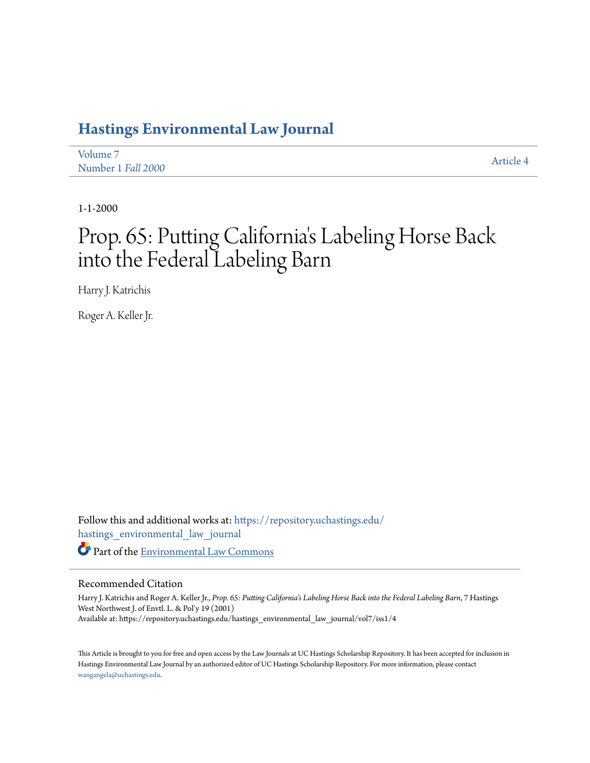## **[Hastings Environmental Law Journal](https://repository.uchastings.edu/hastings_environmental_law_journal?utm_source=repository.uchastings.edu%2Fhastings_environmental_law_journal%2Fvol7%2Fiss1%2F4&utm_medium=PDF&utm_campaign=PDFCoverPages)**

| Volume 7           | Article 4 |
|--------------------|-----------|
| Number 1 Fall 2000 |           |

1-1-2000

# Prop. 65: Putting California 's Labeling Horse Back into the Federal Labeling Barn

Harry J. Katrichis

Roger A. Keller Jr.

Follow this and additional works at: [https://repository.uchastings.edu/](https://repository.uchastings.edu/hastings_environmental_law_journal?utm_source=repository.uchastings.edu%2Fhastings_environmental_law_journal%2Fvol7%2Fiss1%2F4&utm_medium=PDF&utm_campaign=PDFCoverPages) [hastings\\_environmental\\_law\\_journal](https://repository.uchastings.edu/hastings_environmental_law_journal?utm_source=repository.uchastings.edu%2Fhastings_environmental_law_journal%2Fvol7%2Fiss1%2F4&utm_medium=PDF&utm_campaign=PDFCoverPages) Part of the [Environmental Law Commons](http://network.bepress.com/hgg/discipline/599?utm_source=repository.uchastings.edu%2Fhastings_environmental_law_journal%2Fvol7%2Fiss1%2F4&utm_medium=PDF&utm_campaign=PDFCoverPages)

#### Recommended Citation

Harry J. Katrichis and Roger A. Keller Jr., *Prop. 65: Putting California's Labeling Horse Back into the Federal Labeling Barn*, 7 Hastings West Northwest J. of Envtl. L. & Pol'y 19 (2001) Available at: https://repository.uchastings.edu/hastings\_environmental\_law\_journal/vol7/iss1/4

This Article is brought to you for free and open access by the Law Journals at UC Hastings Scholarship Repository. It has been accepted for inclusion in Hastings Environmental Law Journal by an authorized editor of UC Hastings Scholarship Repository. For more information, please contact [wangangela@uchastings.edu](mailto:wangangela@uchastings.edu).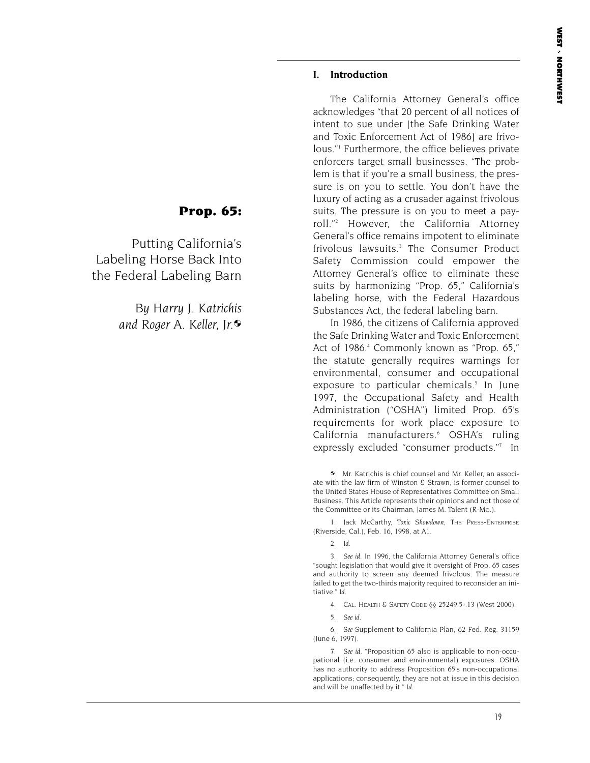## **I. Introduction**

The California Attorney General's office acknowledges "that 20 percent of all notices of intent to sue under [the Safe Drinking Water and Toxic Enforcement Act of 1986] are frivolous."1 Furthermore, the office believes private enforcers target small businesses. "The problem is that if you're a small business, the pressure is on you to settle. You don't have the luxury of acting as a crusader against frivolous suits. The pressure is on you to meet a payroll."2 However, the California Attorney General's office remains impotent to eliminate frivolous lawsuits.3 The Consumer Product Safety Commission could empower the Attorney General's office to eliminate these suits by harmonizing "Prop. 65," California's labeling horse, with the Federal Hazardous Substances Act, the federal labeling barn.

In 1986, the citizens of California approved the Safe Drinking Water and Toxic Enforcement Act of 1986.<sup>4</sup> Commonly known as "Prop. 65," the statute generally requires warnings for environmental, consumer and occupational exposure to particular chemicals.<sup>5</sup> In June 1997, the Occupational Safety and Health Administration ("OSHA") limited Prop. 65's requirements for work place exposure to California manufacturers.<sup>6</sup> OSHA's ruling expressly excluded "consumer products."7 In

 Mr. Katrichis is chief counsel and Mr. Keller, an associate with the law firm of Winston & Strawn, is former counsel to the United States House of Representatives Committee on Small Business. This Article represents their opinions and not those of the Committee or its Chairman, James M. Talent (R-Mo.).

1. Jack McCarthy, *Toxic Showdown*, THE PRESS-ENTERPRISE (Riverside, Cal.), Feb. 16, 1998, at A1.

2. *Id*.

3. *See id*. In 1996, the California Attorney General's office "sought legislation that would give it oversight of Prop. 65 cases and authority to screen any deemed frivolous. The measure failed to get the two-thirds majority required to reconsider an initiative." *Id*.

4. CAL. HEALTH & SAFETY CODE §§ 25249.5-.13 (West 2000).

5. *See id*.

6. *See* Supplement to California Plan, 62 Fed. Reg. 31159 (June 6, 1997).

7. *See id*. "Proposition 65 also is applicable to non-occupational (i.e. consumer and environmental) exposures. OSHA has no authority to address Proposition 65's non-occupational applications; consequently, they are not at issue in this decision and will be unaffected by it." *Id*.

## **Prop. 65:**

Putting California's Labeling Horse Back Into the Federal Labeling Barn

> *By Harry J. Katrichis and Roger A. Keller, Jr.*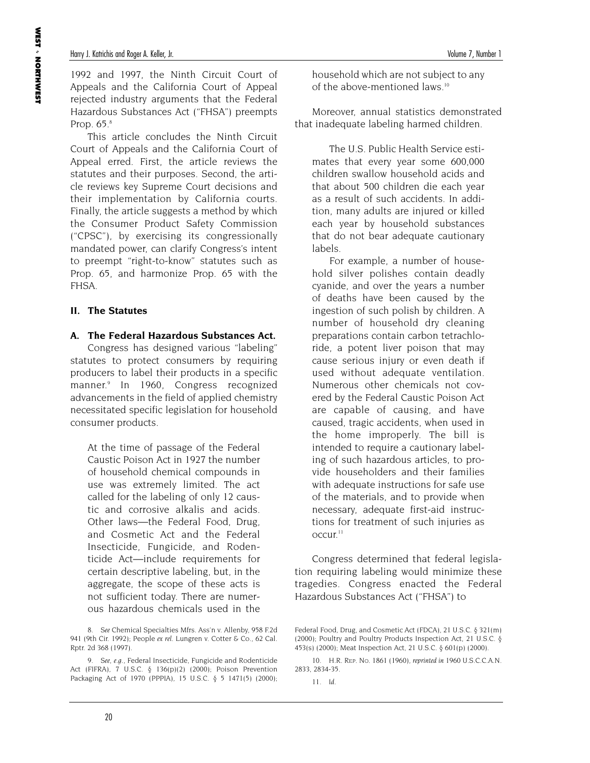1992 and 1997, the Ninth Circuit Court of Appeals and the California Court of Appeal rejected industry arguments that the Federal Hazardous Substances Act ("FHSA") preempts Prop.  $65.8$ 

This article concludes the Ninth Circuit Court of Appeals and the California Court of Appeal erred. First, the article reviews the statutes and their purposes. Second, the article reviews key Supreme Court decisions and their implementation by California courts. Finally, the article suggests a method by which the Consumer Product Safety Commission ("CPSC"), by exercising its congressionally mandated power, can clarify Congress's intent to preempt "right-to-know" statutes such as Prop. 65, and harmonize Prop. 65 with the FHSA.

## **II. The Statutes**

## **A. The Federal Hazardous Substances Act.**

Congress has designed various "labeling" statutes to protect consumers by requiring producers to label their products in a specific manner.<sup>9</sup> In 1960, Congress recognized advancements in the field of applied chemistry necessitated specific legislation for household consumer products.

At the time of passage of the Federal Caustic Poison Act in 1927 the number of household chemical compounds in use was extremely limited. The act called for the labeling of only 12 caustic and corrosive alkalis and acids. Other laws—the Federal Food, Drug, and Cosmetic Act and the Federal Insecticide, Fungicide, and Rodenticide Act—include requirements for certain descriptive labeling, but, in the aggregate, the scope of these acts is not sufficient today. There are numerous hazardous chemicals used in the household which are not subject to any of the above-mentioned laws.<sup>10</sup>

Moreover, annual statistics demonstrated that inadequate labeling harmed children.

The U.S. Public Health Service estimates that every year some 600,000 children swallow household acids and that about 500 children die each year as a result of such accidents. In addition, many adults are injured or killed each year by household substances that do not bear adequate cautionary labels.

For example, a number of household silver polishes contain deadly cyanide, and over the years a number of deaths have been caused by the ingestion of such polish by children. A number of household dry cleaning preparations contain carbon tetrachloride, a potent liver poison that may cause serious injury or even death if used without adequate ventilation. Numerous other chemicals not covered by the Federal Caustic Poison Act are capable of causing, and have caused, tragic accidents, when used in the home improperly. The bill is intended to require a cautionary labeling of such hazardous articles, to provide householders and their families with adequate instructions for safe use of the materials, and to provide when necessary, adequate first-aid instructions for treatment of such injuries as  $occur.<sup>11</sup>$ 

Congress determined that federal legislation requiring labeling would minimize these tragedies. Congress enacted the Federal Hazardous Substances Act ("FHSA") to

10. H.R. REP. NO. 1861 (1960), *reprinted in* 1960 U.S.C.C.A.N. 2833, 2834-35.

11. *Id*.

<sup>8.</sup> *See* Chemical Specialties Mfrs. Ass'n v. Allenby, 958 F.2d 941 (9th Cir. 1992); People *ex rel.* Lungren v. Cotter & Co., 62 Cal. Rptr. 2d 368 (1997).

<sup>9.</sup> *See, e.g.*, Federal Insecticide, Fungicide and Rodenticide Act (FIFRA), 7 U.S.C. § 136(p)(2) (2000); Poison Prevention Packaging Act of 1970 (PPPIA), 15 U.S.C. § 5 1471(5) (2000);

Federal Food, Drug, and Cosmetic Act (FDCA), 21 U.S.C. § 321(m) (2000); Poultry and Poultry Products Inspection Act, 21 U.S.C. § 453(s) (2000); Meat Inspection Act, 21 U.S.C. § 601(p) (2000).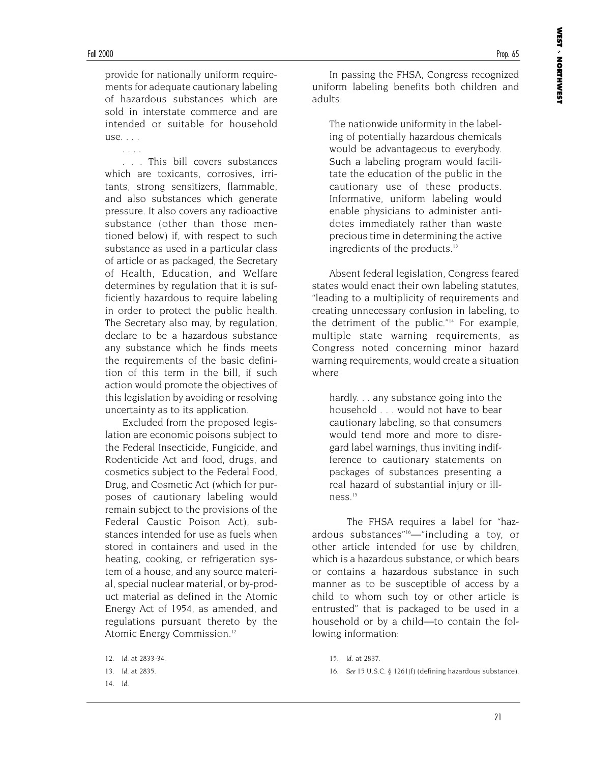. . . .

provide for nationally uniform requirements for adequate cautionary labeling of hazardous substances which are sold in interstate commerce and are intended or suitable for household use. . . .

. . . This bill covers substances which are toxicants, corrosives, irritants, strong sensitizers, flammable, and also substances which generate pressure. It also covers any radioactive substance (other than those mentioned below) if, with respect to such substance as used in a particular class of article or as packaged, the Secretary of Health, Education, and Welfare determines by regulation that it is sufficiently hazardous to require labeling in order to protect the public health. The Secretary also may, by regulation, declare to be a hazardous substance any substance which he finds meets the requirements of the basic definition of this term in the bill, if such action would promote the objectives of this legislation by avoiding or resolving uncertainty as to its application.

Excluded from the proposed legislation are economic poisons subject to the Federal Insecticide, Fungicide, and Rodenticide Act and food, drugs, and cosmetics subject to the Federal Food, Drug, and Cosmetic Act (which for purposes of cautionary labeling would remain subject to the provisions of the Federal Caustic Poison Act), substances intended for use as fuels when stored in containers and used in the heating, cooking, or refrigeration system of a house, and any source material, special nuclear material, or by-product material as defined in the Atomic Energy Act of 1954, as amended, and regulations pursuant thereto by the Atomic Energy Commission.<sup>12</sup>

12. *Id*. at 2833-34. 13. *Id*. at 2835. 14. *Id*.

In passing the FHSA, Congress recognized uniform labeling benefits both children and adults:

The nationwide uniformity in the labeling of potentially hazardous chemicals would be advantageous to everybody. Such a labeling program would facilitate the education of the public in the cautionary use of these products. Informative, uniform labeling would enable physicians to administer antidotes immediately rather than waste precious time in determining the active ingredients of the products.<sup>13</sup>

Absent federal legislation, Congress feared states would enact their own labeling statutes, "leading to a multiplicity of requirements and creating unnecessary confusion in labeling, to the detriment of the public."14 For example, multiple state warning requirements, as Congress noted concerning minor hazard warning requirements, would create a situation where

hardly. . . any substance going into the household . . . would not have to bear cautionary labeling, so that consumers would tend more and more to disregard label warnings, thus inviting indifference to cautionary statements on packages of substances presenting a real hazard of substantial injury or illness.15

The FHSA requires a label for "hazardous substances"16—"including a toy, or other article intended for use by children, which is a hazardous substance, or which bears or contains a hazardous substance in such manner as to be susceptible of access by a child to whom such toy or other article is entrusted" that is packaged to be used in a household or by a child—to contain the following information:

- 15. *Id*. at 2837.
- 16. *See* 15 U.S.C. § 1261(f) (defining hazardous substance).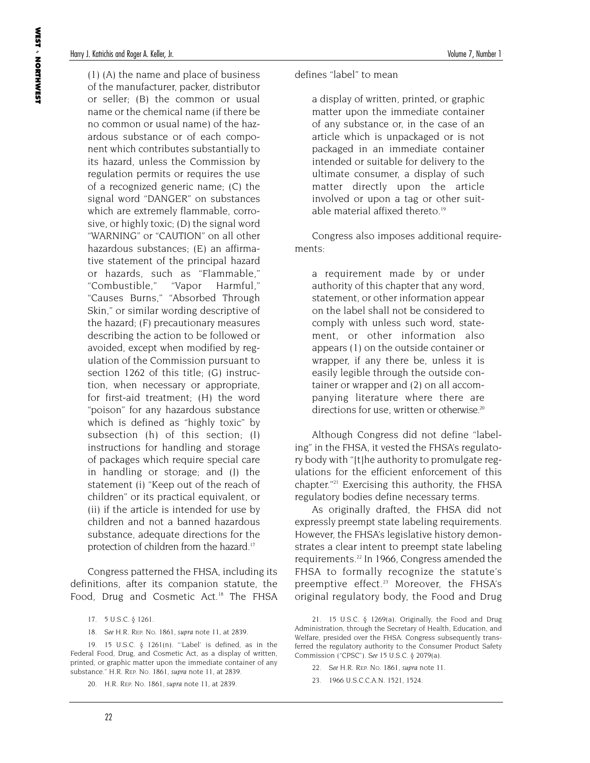(1) (A) the name and place of business of the manufacturer, packer, distributor or seller; (B) the common or usual name or the chemical name (if there be no common or usual name) of the hazardous substance or of each component which contributes substantially to its hazard, unless the Commission by regulation permits or requires the use of a recognized generic name; (C) the signal word "DANGER" on substances which are extremely flammable, corrosive, or highly toxic; (D) the signal word "WARNING" or "CAUTION" on all other hazardous substances; (E) an affirmative statement of the principal hazard or hazards, such as "Flammable," "Combustible," "Vapor Harmful," "Causes Burns," "Absorbed Through Skin," or similar wording descriptive of the hazard; (F) precautionary measures describing the action to be followed or avoided, except when modified by regulation of the Commission pursuant to section 1262 of this title; (G) instruction, when necessary or appropriate, for first-aid treatment; (H) the word "poison" for any hazardous substance which is defined as "highly toxic" by subsection (h) of this section; (I) instructions for handling and storage of packages which require special care in handling or storage; and (J) the statement (i) "Keep out of the reach of children" or its practical equivalent, or (ii) if the article is intended for use by children and not a banned hazardous substance, adequate directions for the protection of children from the hazard.<sup>17</sup>

Congress patterned the FHSA, including its definitions, after its companion statute, the Food, Drug and Cosmetic Act.<sup>18</sup> The FHSA defines "label" to mean

a display of written, printed, or graphic matter upon the immediate container of any substance or, in the case of an article which is unpackaged or is not packaged in an immediate container intended or suitable for delivery to the ultimate consumer, a display of such matter directly upon the article involved or upon a tag or other suitable material affixed thereto.<sup>19</sup>

Congress also imposes additional requirements:

a requirement made by or under authority of this chapter that any word, statement, or other information appear on the label shall not be considered to comply with unless such word, statement, or other information also appears (1) on the outside container or wrapper, if any there be, unless it is easily legible through the outside container or wrapper and (2) on all accompanying literature where there are directions for use, written or otherwise.<sup>20</sup>

Although Congress did not define "labeling" in the FHSA, it vested the FHSA's regulatory body with "[t]he authority to promulgate regulations for the efficient enforcement of this chapter."21 Exercising this authority, the FHSA regulatory bodies define necessary terms.

As originally drafted, the FHSA did not expressly preempt state labeling requirements. However, the FHSA's legislative history demonstrates a clear intent to preempt state labeling requirements.<sup>22</sup> In 1966, Congress amended the FHSA to formally recognize the statute's preemptive effect.<sup>23</sup> Moreover, the FHSA's original regulatory body, the Food and Drug

22. *See* H.R. REP. NO. 1861, *supra* note 11.

23. 1966 U.S.C.C.A.N. 1521, 1524.

<sup>17. 5</sup> U.S.C. § 1261.

<sup>18.</sup> *See* H.R. REP. NO. 1861, *supra* note 11, at 2839.

<sup>19. 15</sup> U.S.C. § 1261(n). "'Label' is defined, as in the Federal Food, Drug, and Cosmetic Act, as a display of written, printed, or graphic matter upon the immediate container of any substance." H.R. REP. NO. 1861, *supra* note 11, at 2839.

<sup>20.</sup> H.R. REP. NO. 1861, *supra* note 11, at 2839.

<sup>21. 15</sup> U.S.C. § 1269(a). Originally, the Food and Drug Administration, through the Secretary of Health, Education, and Welfare, presided over the FHSA. Congress subsequently transferred the regulatory authority to the Consumer Product Safety Commission ("CPSC"). *See* 15 U.S.C. § 2079(a).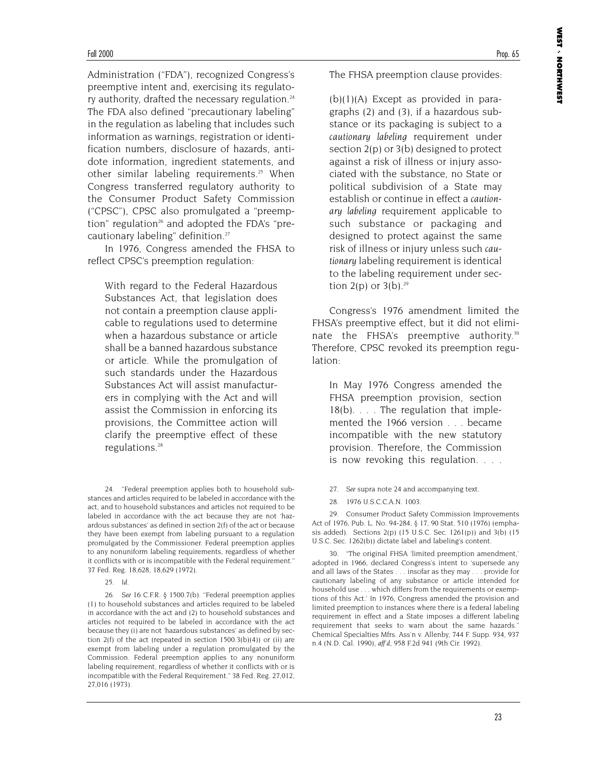Administration ("FDA"), recognized Congress's preemptive intent and, exercising its regulatory authority, drafted the necessary regulation.<sup>24</sup> The FDA also defined "precautionary labeling" in the regulation as labeling that includes such information as warnings, registration or identification numbers, disclosure of hazards, antidote information, ingredient statements, and other similar labeling requirements.<sup>25</sup> When Congress transferred regulatory authority to the Consumer Product Safety Commission ("CPSC"), CPSC also promulgated a "preemption" regulation<sup>26</sup> and adopted the FDA's "precautionary labeling" definition.27

In 1976, Congress amended the FHSA to reflect CPSC's preemption regulation:

With regard to the Federal Hazardous Substances Act, that legislation does not contain a preemption clause applicable to regulations used to determine when a hazardous substance or article shall be a banned hazardous substance or article. While the promulgation of such standards under the Hazardous Substances Act will assist manufacturers in complying with the Act and will assist the Commission in enforcing its provisions, the Committee action will clarify the preemptive effect of these regulations.<sup>28</sup>

24. "Federal preemption applies both to household substances and articles required to be labeled in accordance with the act, and to household substances and articles not required to be labeled in accordance with the act because they are not 'hazardous substances' as defined in section 2(f) of the act or because they have been exempt from labeling pursuant to a regulation promulgated by the Commissioner. Federal preemption applies to any nonuniform labeling requirements, regardless of whether it conflicts with or is incompatible with the Federal requirement." 37 Fed. Reg. 18,628, 18,629 (1972).

The FHSA preemption clause provides:

 $(b)(1)(A)$  Except as provided in paragraphs (2) and (3), if a hazardous substance or its packaging is subject to a *cautionary labeling* requirement under section 2(p) or 3(b) designed to protect against a risk of illness or injury associated with the substance, no State or political subdivision of a State may establish or continue in effect a *cautionary labeling* requirement applicable to such substance or packaging and designed to protect against the same risk of illness or injury unless such *cautionary* labeling requirement is identical to the labeling requirement under section 2(p) or  $3(b)$ .<sup>29</sup>

Congress's 1976 amendment limited the FHSA's preemptive effect, but it did not eliminate the FHSA's preemptive authority.<sup>30</sup> Therefore, CPSC revoked its preemption regulation:

In May 1976 Congress amended the FHSA preemption provision, section 18(b). . . . The regulation that implemented the 1966 version . . . became incompatible with the new statutory provision. Therefore, the Commission is now revoking this regulation. . . .

28. 1976 U.S.C.C.A.N. 1003.

29. Consumer Product Safety Commission Improvements Act of 1976, Pub. L. No. 94-284, § 17, 90 Stat. 510 (1976) (emphasis added). Sections 2(p) (15 U.S.C. Sec. 1261(p)) and 3(b) (15 U.S.C. Sec. 1262(b)) dictate label and labeling's content.

30. "The original FHSA 'limited preemption amendment,' adopted in 1966, declared Congress's intent to 'supersede any and all laws of the States . . . insofar as they may . . . provide for cautionary labeling of any substance or article intended for household use . . . which differs from the requirements or exemptions of this Act.' In 1976, Congress amended the provision and limited preemption to instances where there is a federal labeling requirement in effect and a State imposes a different labeling requirement that seeks to warn about the same hazards." Chemical Specialties Mfrs. Ass'n v. Allenby, 744 F. Supp. 934, 937 n.4 (N.D. Cal. 1990), *aff'd,* 958 F.2d 941 (9th Cir. 1992).

<sup>25.</sup> *Id.*

<sup>26.</sup> *See* 16 C.F.R. § 1500.7(b). "Federal preemption applies (1) to household substances and articles required to be labeled in accordance with the act and (2) to household substances and articles not required to be labeled in accordance with the act because they (i) are not 'hazardous substances' as defined by section  $2(f)$  of the act (repeated in section  $1500.3(b)(4)$ ) or (ii) are exempt from labeling under a regulation promulgated by the Commission. Federal preemption applies to any nonuniform labeling requirement, regardless of whether it conflicts with or is incompatible with the Federal Requirement." 38 Fed. Reg. 27,012, 27,016 (1973).

<sup>27.</sup> *See* supra note 24 and accompanying text.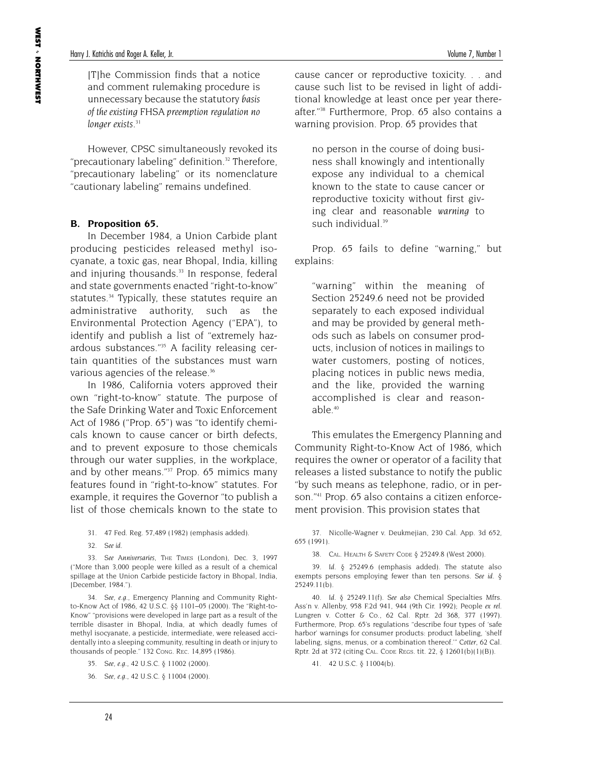[T]he Commission finds that a notice and comment rulemaking procedure is unnecessary because the statutory *basis of the existing FHSA preemption regulation no longer exists*. 31

However, CPSC simultaneously revoked its "precautionary labeling" definition.<sup>32</sup> Therefore, "precautionary labeling" or its nomenclature "cautionary labeling" remains undefined.

## **B. Proposition 65.**

In December 1984, a Union Carbide plant producing pesticides released methyl isocyanate, a toxic gas, near Bhopal, India, killing and injuring thousands.<sup>33</sup> In response, federal and state governments enacted "right-to-know" statutes.<sup>34</sup> Typically, these statutes require an administrative authority, such as the Environmental Protection Agency ("EPA"), to identify and publish a list of "extremely hazardous substances."35 A facility releasing certain quantities of the substances must warn various agencies of the release.<sup>36</sup>

In 1986, California voters approved their own "right-to-know" statute. The purpose of the Safe Drinking Water and Toxic Enforcement Act of 1986 ("Prop. 65") was "to identify chemicals known to cause cancer or birth defects, and to prevent exposure to those chemicals through our water supplies, in the workplace, and by other means."37 Prop. 65 mimics many features found in "right-to-know" statutes. For example, it requires the Governor "to publish a list of those chemicals known to the state to

32. *See id*.

33. *See Anniversaries,* THE TIMES (London), Dec. 3, 1997 ("More than 3,000 people were killed as a result of a chemical spillage at the Union Carbide pesticide factory in Bhopal, India, [December, 1984.").

34. *See*, *e.g.*, Emergency Planning and Community Rightto-Know Act of 1986, 42 U.S.C. §§ 1101–05 (2000). The "Right-to-Know" "provisions were developed in large part as a result of the terrible disaster in Bhopal, India, at which deadly fumes of methyl isocyanate, a pesticide, intermediate, were released accidentally into a sleeping community, resulting in death or injury to thousands of people." 132 CONG. REC. 14,895 (1986).

cause cancer or reproductive toxicity. . . and cause such list to be revised in light of additional knowledge at least once per year thereafter."38 Furthermore, Prop. 65 also contains a warning provision. Prop. 65 provides that

no person in the course of doing business shall knowingly and intentionally expose any individual to a chemical known to the state to cause cancer or reproductive toxicity without first giving clear and reasonable *warning* to such individual.<sup>39</sup>

Prop. 65 fails to define "warning," but explains:

"warning" within the meaning of Section 25249.6 need not be provided separately to each exposed individual and may be provided by general methods such as labels on consumer products, inclusion of notices in mailings to water customers, posting of notices, placing notices in public news media, and the like, provided the warning accomplished is clear and reasonable $40$ 

This emulates the Emergency Planning and Community Right-to-Know Act of 1986, which requires the owner or operator of a facility that releases a listed substance to notify the public "by such means as telephone, radio, or in person."41 Prop. 65 also contains a citizen enforcement provision. This provision states that

37. Nicolle-Wagner v. Deukmejian, 230 Cal. App. 3d 652, 655 (1991).

38. CAL. HEALTH & SAFETY CODE § 25249.8 (West 2000).

39. *Id.* § 25249.6 (emphasis added). The statute also exempts persons employing fewer than ten persons. *See id*. § 25249.11(b).

40. *Id.* § 25249.11(f). *See also* Chemical Specialties Mfrs. Ass'n v. Allenby, 958 F.2d 941, 944 (9th Cir. 1992); People *ex rel.* Lungren v. Cotter & Co., 62 Cal. Rptr. 2d 368, 377 (1997). Furthermore, Prop. 65's regulations "describe four types of 'safe harbor' warnings for consumer products: product labeling, 'shelf labeling, signs, menus, or a combination thereof.'" *Cotter*, 62 Cal. Rptr. 2d at 372 (citing CAL. CODE REGS. tit. 22, § 12601(b)(1)(B)).

41. 42 U.S.C. § 11004(b).

<sup>31. 47</sup> Fed. Reg. 57,489 (1982) (emphasis added).

<sup>35.</sup> *See*, *e.g.,* 42 U.S.C. § 11002 (2000).

<sup>36.</sup> *See*, *e.g.,* 42 U.S.C. § 11004 (2000).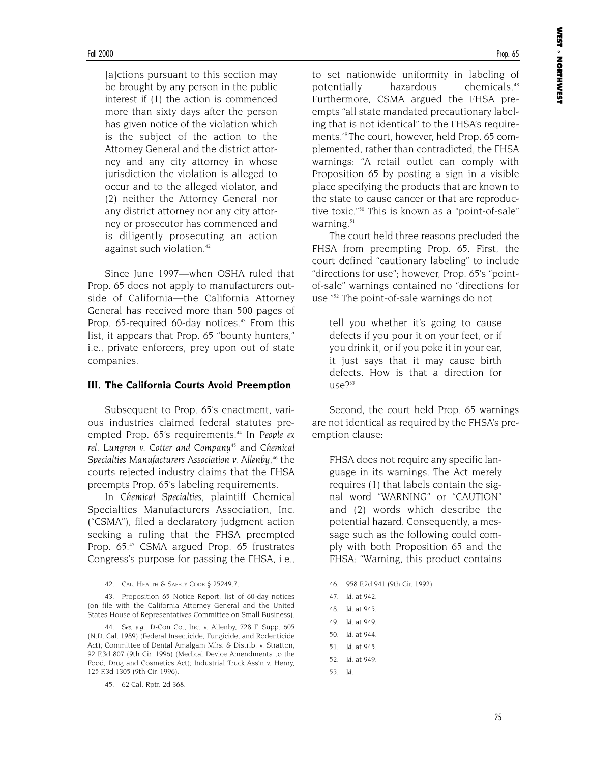[a]ctions pursuant to this section may be brought by any person in the public interest if (1) the action is commenced more than sixty days after the person has given notice of the violation which is the subject of the action to the Attorney General and the district attorney and any city attorney in whose jurisdiction the violation is alleged to occur and to the alleged violator, and (2) neither the Attorney General nor any district attorney nor any city attorney or prosecutor has commenced and is diligently prosecuting an action against such violation.<sup>42</sup>

Since June 1997—when OSHA ruled that Prop. 65 does not apply to manufacturers outside of California—the California Attorney General has received more than 500 pages of Prop. 65-required 60-day notices.<sup>43</sup> From this list, it appears that Prop. 65 "bounty hunters," i.e., private enforcers, prey upon out of state companies.

#### **III. The California Courts Avoid Preemption**

Subsequent to Prop. 65's enactment, various industries claimed federal statutes preempted Prop. 65's requirements.<sup>44</sup> In People ex *rel. Lungren v. Cotter and Company45* and *Chemical Specialties Manufacturers Association v. Allenby*, <sup>46</sup> the courts rejected industry claims that the FHSA preempts Prop. 65's labeling requirements.

In *Chemical Specialties,* plaintiff Chemical Specialties Manufacturers Association, Inc. ("CSMA"), filed a declaratory judgment action seeking a ruling that the FHSA preempted Prop. 65.<sup>47</sup> CSMA argued Prop. 65 frustrates Congress's purpose for passing the FHSA, i.e.,

42. CAL. HEALTH & SAFETY CODE § 25249.7.

43. Proposition 65 Notice Report, list of 60-day notices (on file with the California Attorney General and the United States House of Representatives Committee on Small Business).

44. *See, e.g*., D-Con Co., Inc. v. Allenby, 728 F. Supp. 605 (N.D. Cal. 1989) (Federal Insecticide, Fungicide, and Rodenticide Act); Committee of Dental Amalgam Mfrs. & Distrib. v. Stratton, 92 F.3d 807 (9th Cir. 1996) (Medical Device Amendments to the Food, Drug and Cosmetics Act); Industrial Truck Ass'n v. Henry, 125 F.3d 1305 (9th Cir. 1996).

45. 62 Cal. Rptr. 2d 368.

to set nationwide uniformity in labeling of potentially hazardous chemicals.48 Furthermore, CSMA argued the FHSA preempts "all state mandated precautionary labeling that is not identical" to the FHSA's requirements.49 The court, however, held Prop. 65 complemented, rather than contradicted, the FHSA warnings: "A retail outlet can comply with Proposition 65 by posting a sign in a visible place specifying the products that are known to the state to cause cancer or that are reproductive toxic."50 This is known as a "point-of-sale" warning.<sup>51</sup>

The court held three reasons precluded the FHSA from preempting Prop. 65. First, the court defined "cautionary labeling" to include "directions for use"; however, Prop. 65's "pointof-sale" warnings contained no "directions for use."52 The point-of-sale warnings do not

tell you whether it's going to cause defects if you pour it on your feet, or if you drink it, or if you poke it in your ear, it just says that it may cause birth defects. How is that a direction for  $use<sup>253</sup>$ 

Second, the court held Prop. 65 warnings are not identical as required by the FHSA's preemption clause:

FHSA does not require any specific language in its warnings. The Act merely requires (1) that labels contain the signal word "WARNING" or "CAUTION" and (2) words which describe the potential hazard. Consequently, a message such as the following could comply with both Proposition 65 and the FHSA: "Warning, this product contains

- 46. 958 F.2d 941 (9th Cir. 1992).
- 47. *Id*. at 942.
- 48. *Id*. at 945.
- 49. *Id*. at 949.
- 50. *Id*. at 944.
- 51. *Id*. at 945.
- 52. *Id.* at 949.
- 53. *Id*.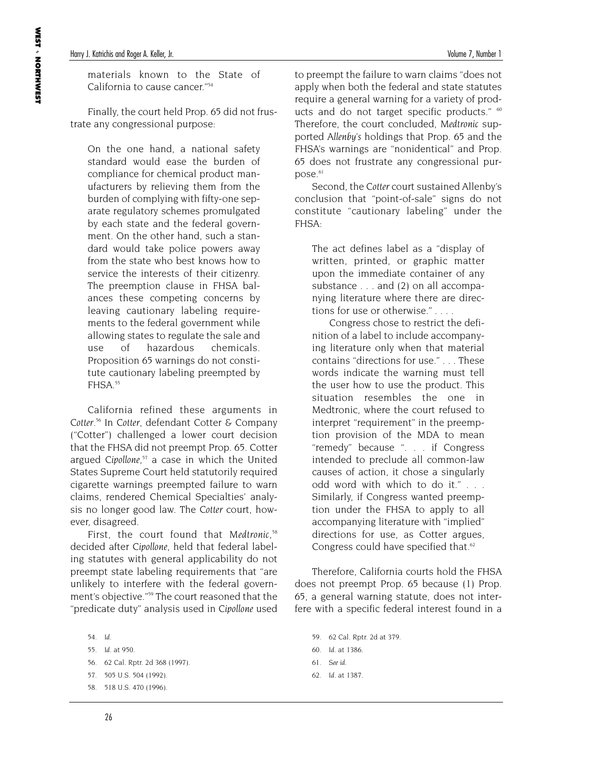materials known to the State of California to cause cancer<sup>"54</sup>

Finally, the court held Prop. 65 did not frustrate any congressional purpose:

On the one hand, a national safety standard would ease the burden of compliance for chemical product manufacturers by relieving them from the burden of complying with fifty-one separate regulatory schemes promulgated by each state and the federal government. On the other hand, such a standard would take police powers away from the state who best knows how to service the interests of their citizenry. The preemption clause in FHSA balances these competing concerns by leaving cautionary labeling requirements to the federal government while allowing states to regulate the sale and use of hazardous chemicals. Proposition 65 warnings do not constitute cautionary labeling preempted by FHSA.<sup>55</sup>

California refined these arguments in *Cotter*. <sup>56</sup> In *Cotter*, defendant Cotter & Company ("Cotter") challenged a lower court decision that the FHSA did not preempt Prop. 65. Cotter argued *Cipollone*, <sup>57</sup> a case in which the United States Supreme Court held statutorily required cigarette warnings preempted failure to warn claims, rendered Chemical Specialties' analysis no longer good law. The *Cotter* court, however, disagreed.

First, the court found that *Medtronic*, 58 decided after *Cipollone*, held that federal labeling statutes with general applicability do not preempt state labeling requirements that "are unlikely to interfere with the federal government's objective."59 The court reasoned that the "predicate duty" analysis used in *Cipollone* used

to preempt the failure to warn claims "does not apply when both the federal and state statutes require a general warning for a variety of products and do not target specific products." 60 Therefore, the court concluded, *Medtronic* supported *Allenby's* holdings that Prop. 65 and the FHSA's warnings are "nonidentical" and Prop. 65 does not frustrate any congressional pur- $DOSe.<sup>61</sup>$ 

Second, the *Cotter* court sustained Allenby's conclusion that "point-of-sale" signs do not constitute "cautionary labeling" under the FHSA:

The act defines label as a "display of written, printed, or graphic matter upon the immediate container of any substance . . . and (2) on all accompanying literature where there are directions for use or otherwise." . . . .

Congress chose to restrict the definition of a label to include accompanying literature only when that material contains "directions for use." . . . These words indicate the warning must tell the user how to use the product. This situation resembles the one in Medtronic, where the court refused to interpret "requirement" in the preemption provision of the MDA to mean "remedy" because ". . . if Congress intended to preclude all common-law causes of action, it chose a singularly odd word with which to do it." . . . Similarly, if Congress wanted preemption under the FHSA to apply to all accompanying literature with "implied" directions for use, as Cotter argues, Congress could have specified that.<sup>62</sup>

Therefore, California courts hold the FHSA does not preempt Prop. 65 because (1) Prop. 65, a general warning statute, does not interfere with a specific federal interest found in a

- 59. 62 Cal. Rptr. 2d at 379.
- 60. *Id*. at 1386.

62. *Id*. at 1387.

<sup>54.</sup> *Id*.

<sup>55.</sup> *Id*. at 950.

<sup>56. 62</sup> Cal. Rptr. 2d 368 (1997).

<sup>57. 505</sup> U.S. 504 (1992).

<sup>58. 518</sup> U.S. 470 (1996).

<sup>61.</sup> *See id*.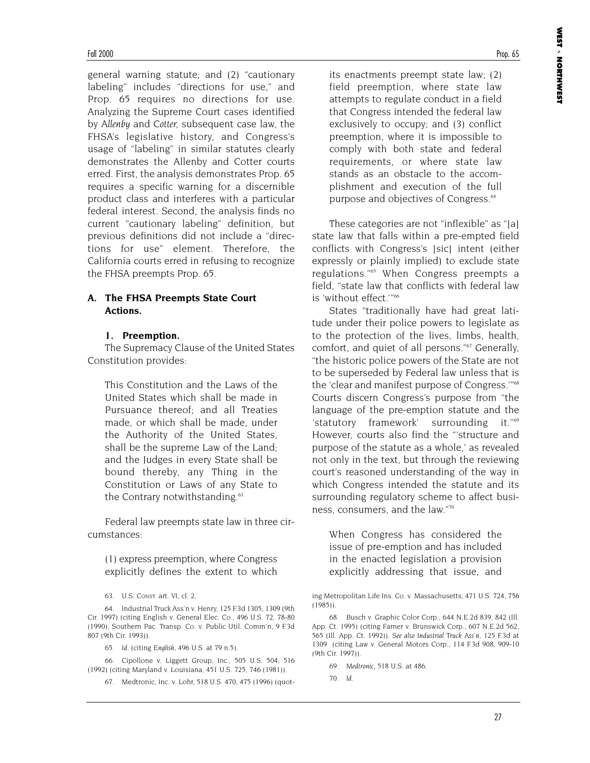general warning statute; and (2) "cautionary labeling" includes "directions for use," and Prop. 65 requires no directions for use. Analyzing the Supreme Court cases identified by *Allenby* and *Cotter,* subsequent case law, the FHSA's legislative history, and Congress's usage of "labeling" in similar statutes clearly demonstrates the Allenby and Cotter courts erred. First, the analysis demonstrates Prop. 65 requires a specific warning for a discernible product class and interferes with a particular federal interest. Second, the analysis finds no current "cautionary labeling" definition, but previous definitions did not include a "directions for use" element. Therefore, the California courts erred in refusing to recognize the FHSA preempts Prop. 65.

## **A. The FHSA Preempts State Court Actions.**

## **1. Preemption.**

The Supremacy Clause of the United States Constitution provides:

This Constitution and the Laws of the United States which shall be made in Pursuance thereof; and all Treaties made, or which shall be made, under the Authority of the United States, shall be the supreme Law of the Land; and the Judges in every State shall be bound thereby, any Thing in the Constitution or Laws of any State to the Contrary notwithstanding.<sup>63</sup>

Federal law preempts state law in three circumstances:

(1) express preemption, where Congress explicitly defines the extent to which

65. *Id*. (citing *English*, 496 U.S. at 79 n.5).

66. Cipollone v. Liggett Group, Inc., 505 U.S. 504, 516 (1992) (citing Maryland v. Louisiana, 451 U.S. 725, 746 (1981)).

67. Medtronic, Inc. v. Lohr, 518 U.S. 470, 475 (1996) (quot-

its enactments preempt state law; (2) field preemption, where state law attempts to regulate conduct in a field that Congress intended the federal law exclusively to occupy; and (3) conflict preemption, where it is impossible to comply with both state and federal requirements, or where state law stands as an obstacle to the accomplishment and execution of the full purpose and objectives of Congress.<sup>64</sup>

These categories are not "inflexible" as "[a] state law that falls within a pre-empted field conflicts with Congress's [sic] intent (either expressly or plainly implied) to exclude state regulations."65 When Congress preempts a field, "state law that conflicts with federal law is 'without effect.'"<sup>66</sup>

States "traditionally have had great latitude under their police powers to legislate as to the protection of the lives, limbs, health, comfort, and quiet of all persons."67 Generally, "the historic police powers of the State are not to be superseded by Federal law unless that is the 'clear and manifest purpose of Congress."<sup>68</sup> Courts discern Congress's purpose from "the language of the pre-emption statute and the 'statutory framework' surrounding it."69 However, courts also find the "'structure and purpose of the statute as a whole,' as revealed not only in the text, but through the reviewing court's reasoned understanding of the way in which Congress intended the statute and its surrounding regulatory scheme to affect business, consumers, and the law."70

When Congress has considered the issue of pre-emption and has included in the enacted legislation a provision explicitly addressing that issue, and

70. *Id*.

27

<sup>63.</sup> U.S. CONST. art. VI, cl. 2.

<sup>64.</sup> Industrial Truck Ass'n v. Henry, 125 F.3d 1305, 1309 (9th Cir. 1997) (citing English v. General Elec. Co., 496 U.S. 72, 78-80 (1990); Southern Pac. Transp. Co. v. Public Util. Comm'n, 9 F.3d 807 (9th Cir. 1993)).

ing Metropolitan Life Ins. Co. v. Massachusetts, 471 U.S. 724, 756 (1985)).

<sup>68.</sup> Busch v. Graphic Color Corp., 644 N.E.2d 839, 842 (Ill. App. Ct. 1995) (citing Farner v. Brunswick Corp., 607 N.E.2d 562, 565 (Ill. App. Ct. 1992)). *See also Industrial Truck Ass'n,* 125 F.3d at 1309 (citing Law v. General Motors Corp., 114 F.3d 908, 909-10 (9th Cir. 1997)).

<sup>69.</sup> *Medtronic,* 518 U.S. at 486.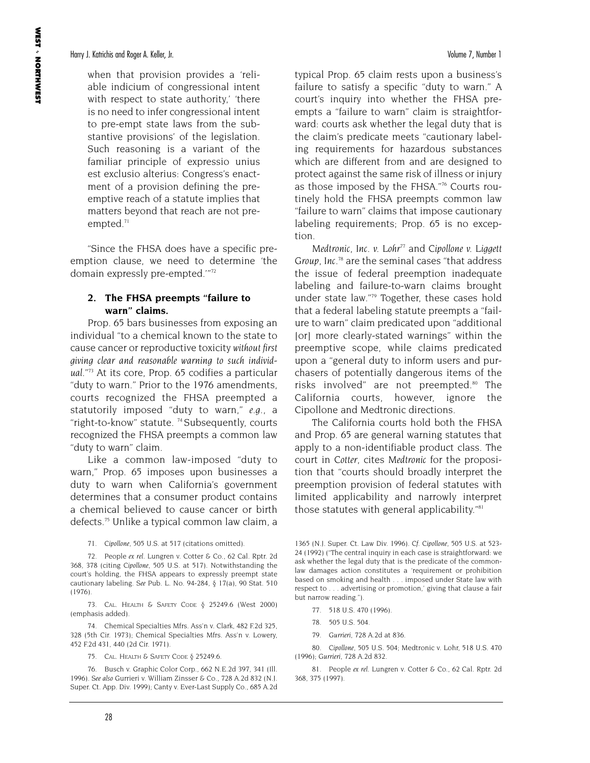#### Harry J. Katrichis and Roger A. Keller, Jr. Volume 7, Number 1

when that provision provides a 'reliable indicium of congressional intent with respect to state authority,' 'there is no need to infer congressional intent to pre-empt state laws from the substantive provisions' of the legislation. Such reasoning is a variant of the familiar principle of expressio unius est exclusio alterius: Congress's enactment of a provision defining the preemptive reach of a statute implies that matters beyond that reach are not preempted.<sup>71</sup>

"Since the FHSA does have a specific preemption clause, we need to determine 'the domain expressly pre-empted.'"72

## **2. The FHSA preempts "failure to warn" claims.**

Prop. 65 bars businesses from exposing an individual "to a chemical known to the state to cause cancer or reproductive toxicity *without first giving clear and reasonable warning to such individual.*" <sup>73</sup> At its core, Prop. 65 codifies a particular "duty to warn." Prior to the 1976 amendments, courts recognized the FHSA preempted a statutorily imposed "duty to warn," *e.g.*, a "right-to-know" statute. 74 Subsequently, courts recognized the FHSA preempts a common law "duty to warn" claim.

Like a common law-imposed "duty to warn," Prop. 65 imposes upon businesses a duty to warn when California's government determines that a consumer product contains a chemical believed to cause cancer or birth defects.75 Unlike a typical common law claim, a

71. *Cipollone*, 505 U.S. at 517 (citations omitted).

72. People *ex rel.* Lungren v. Cotter & Co., 62 Cal. Rptr. 2d 368, 378 (citing *Cipollone*, 505 U.S. at 517). Notwithstanding the court's holding, the FHSA appears to expressly preempt state cautionary labeling. *See* Pub. L. No. 94-284, § 17(a), 90 Stat. 510 (1976).

73. CAL. HEALTH & SAFETY CODE § 25249.6 (West 2000) (emphasis added).

74. Chemical Specialties Mfrs. Ass'n v. Clark, 482 F.2d 325, 328 (5th Cir. 1973); Chemical Specialties Mfrs. Ass'n v. Lowery, 452 F.2d 431, 440 (2d Cir. 1971).

75. CAL. HEALTH & SAFETY CODE § 25249.6.

76. Busch v. Graphic Color Corp., 662 N.E.2d 397, 341 (Ill. 1996). *See also* Gurrieri v. William Zinsser & Co., 728 A.2d 832 (N.J. Super. Ct. App. Div. 1999); Canty v. Ever-Last Supply Co., 685 A.2d

typical Prop. 65 claim rests upon a business's failure to satisfy a specific "duty to warn." A court's inquiry into whether the FHSA preempts a "failure to warn" claim is straightforward: courts ask whether the legal duty that is the claim's predicate meets "cautionary labeling requirements for hazardous substances which are different from and are designed to protect against the same risk of illness or injury as those imposed by the FHSA."76 Courts routinely hold the FHSA preempts common law "failure to warn" claims that impose cautionary labeling requirements; Prop. 65 is no exception.

*Medtronic, Inc. v. Lohr<sup>77</sup>* and *Cipollone v. Liggett Group, Inc.78* are the seminal cases "that address the issue of federal preemption inadequate labeling and failure-to-warn claims brought under state law."79 Together, these cases hold that a federal labeling statute preempts a "failure to warn" claim predicated upon "additional [or] more clearly-stated warnings" within the preemptive scope, while claims predicated upon a "general duty to inform users and purchasers of potentially dangerous items of the risks involved" are not preempted.<sup>80</sup> The California courts, however, ignore the Cipollone and Medtronic directions.

The California courts hold both the FHSA and Prop. 65 are general warning statutes that apply to a non-identifiable product class. The court in *Cotter*, cites *Medtronic* for the proposition that "courts should broadly interpret the preemption provision of federal statutes with limited applicability and narrowly interpret those statutes with general applicability."<sup>81</sup>

- 77. 518 U.S. 470 (1996).
- 78. 505 U.S. 504.
- 79. *Gurrieri*, 728 A.2d at 836.

80. *Cipollone,* 505 U.S. 504; Medtronic v. Lohr, 518 U.S. 470 (1996); *Gurrieri*, 728 A.2d 832.

81. People *ex rel.* Lungren v. Cotter & Co., 62 Cal. Rptr. 2d 368, 375 (1997).

<sup>1365 (</sup>N.J. Super. Ct. Law Div. 1996). *Cf. Cipollone*, 505 U.S. at 523- 24 (1992) ("The central inquiry in each case is straightforward: we ask whether the legal duty that is the predicate of the commonlaw damages action constitutes a 'requirement or prohibition based on smoking and health . . . imposed under State law with respect to . . . advertising or promotion,' giving that clause a fair but narrow reading.").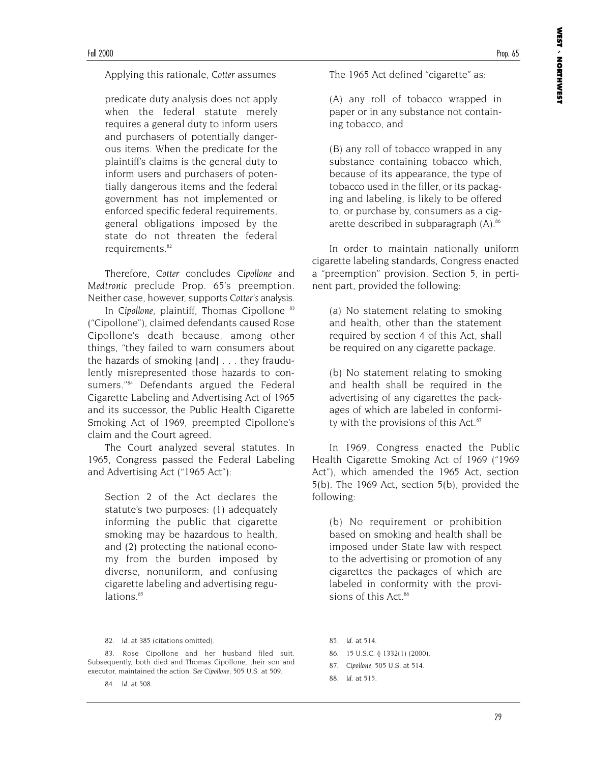Applying this rationale, *Cotter* assumes

predicate duty analysis does not apply when the federal statute merely requires a general duty to inform users and purchasers of potentially dangerous items. When the predicate for the plaintiff's claims is the general duty to inform users and purchasers of potentially dangerous items and the federal government has not implemented or enforced specific federal requirements, general obligations imposed by the state do not threaten the federal requirements.<sup>82</sup>

Therefore, *Cotter* concludes *Cipollone* and *Medtronic* preclude Prop. 65's preemption. Neither case, however, supports *Cotter's* analysis.

In *Cipollone*, plaintiff, Thomas Cipollone<sup>83</sup> ("Cipollone"), claimed defendants caused Rose Cipollone's death because, among other things, "they failed to warn consumers about the hazards of smoking [and] . . . they fraudulently misrepresented those hazards to consumers."84 Defendants argued the Federal Cigarette Labeling and Advertising Act of 1965 and its successor, the Public Health Cigarette Smoking Act of 1969, preempted Cipollone's claim and the Court agreed.

The Court analyzed several statutes. In 1965, Congress passed the Federal Labeling and Advertising Act ("1965 Act"):

Section 2 of the Act declares the statute's two purposes: (1) adequately informing the public that cigarette smoking may be hazardous to health, and (2) protecting the national economy from the burden imposed by diverse, nonuniform, and confusing cigarette labeling and advertising regulations<sup>85</sup>

82. *Id*. at 385 (citations omitted).

83. Rose Cipollone and her husband filed suit. Subsequently, both died and Thomas Cipollone, their son and executor, maintained the action. *See Cipollone,* 505 U.S. at 509.

84. *Id*. at 508.

The 1965 Act defined "cigarette" as:

(A) any roll of tobacco wrapped in paper or in any substance not containing tobacco, and

(B) any roll of tobacco wrapped in any substance containing tobacco which, because of its appearance, the type of tobacco used in the filler, or its packaging and labeling, is likely to be offered to, or purchase by, consumers as a cigarette described in subparagraph (A).<sup>86</sup>

In order to maintain nationally uniform cigarette labeling standards, Congress enacted a "preemption" provision. Section 5, in pertinent part, provided the following:

(a) No statement relating to smoking and health, other than the statement required by section 4 of this Act, shall be required on any cigarette package.

(b) No statement relating to smoking and health shall be required in the advertising of any cigarettes the packages of which are labeled in conformity with the provisions of this Act.<sup>87</sup>

In 1969, Congress enacted the Public Health Cigarette Smoking Act of 1969 ("1969 Act"), which amended the 1965 Act, section 5(b). The 1969 Act, section 5(b), provided the following:

(b) No requirement or prohibition based on smoking and health shall be imposed under State law with respect to the advertising or promotion of any cigarettes the packages of which are labeled in conformity with the provisions of this Act.<sup>88</sup>

- 85. *Id*. at 514.
- 86. 15 U.S.C. § 1332(1) (2000).
- 87. *Cipollone*, 505 U.S. at 514.
- 88. *Id*. at 515.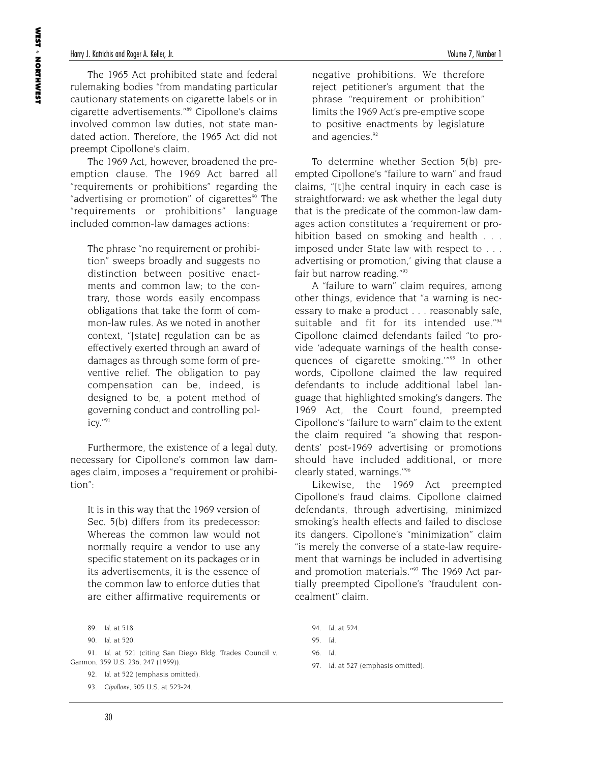The 1965 Act prohibited state and federal rulemaking bodies "from mandating particular cautionary statements on cigarette labels or in cigarette advertisements."89 Cipollone's claims involved common law duties, not state mandated action. Therefore, the 1965 Act did not preempt Cipollone's claim.

The 1969 Act, however, broadened the preemption clause. The 1969 Act barred all "requirements or prohibitions" regarding the "advertising or promotion" of cigarettes $90$  The "requirements or prohibitions" language included common-law damages actions:

The phrase "no requirement or prohibition" sweeps broadly and suggests no distinction between positive enactments and common law; to the contrary, those words easily encompass obligations that take the form of common-law rules. As we noted in another context, "[state] regulation can be as effectively exerted through an award of damages as through some form of preventive relief. The obligation to pay compensation can be, indeed, is designed to be, a potent method of governing conduct and controlling policy."91

Furthermore, the existence of a legal duty, necessary for Cipollone's common law damages claim, imposes a "requirement or prohibition":

It is in this way that the 1969 version of Sec. 5(b) differs from its predecessor: Whereas the common law would not normally require a vendor to use any specific statement on its packages or in its advertisements, it is the essence of the common law to enforce duties that are either affirmative requirements or

91. *Id*. at 521 (citing San Diego Bldg. Trades Council v. Garmon, 359 U.S. 236, 247 (1959)).

92. *Id*. at 522 (emphasis omitted).

93. *Cipollone,* 505 U.S. at 523-24.

and agencies.<sup>92</sup>

To determine whether Section 5(b) preempted Cipollone's "failure to warn" and fraud claims, "[t]he central inquiry in each case is straightforward: we ask whether the legal duty that is the predicate of the common-law damages action constitutes a 'requirement or prohibition based on smoking and health . . . imposed under State law with respect to . . . advertising or promotion,' giving that clause a fair but narrow reading."93

A "failure to warn" claim requires, among other things, evidence that "a warning is necessary to make a product . . . reasonably safe, suitable and fit for its intended use."94 Cipollone claimed defendants failed "to provide 'adequate warnings of the health consequences of cigarette smoking.'"95 In other words, Cipollone claimed the law required defendants to include additional label language that highlighted smoking's dangers. The 1969 Act, the Court found, preempted Cipollone's "failure to warn" claim to the extent the claim required "a showing that respondents' post-1969 advertising or promotions should have included additional, or more clearly stated, warnings."96

Likewise, the 1969 Act preempted Cipollone's fraud claims. Cipollone claimed defendants, through advertising, minimized smoking's health effects and failed to disclose its dangers. Cipollone's "minimization" claim "is merely the converse of a state-law requirement that warnings be included in advertising and promotion materials."<sup>97</sup> The 1969 Act partially preempted Cipollone's "fraudulent concealment" claim.

- 94. *Id*. at 524.
- 95. *Id*.
- 96. *Id*.
- 97. *Id*. at 527 (emphasis omitted).

<sup>89.</sup> *Id*. at 518.

<sup>90.</sup> *Id*. at 520.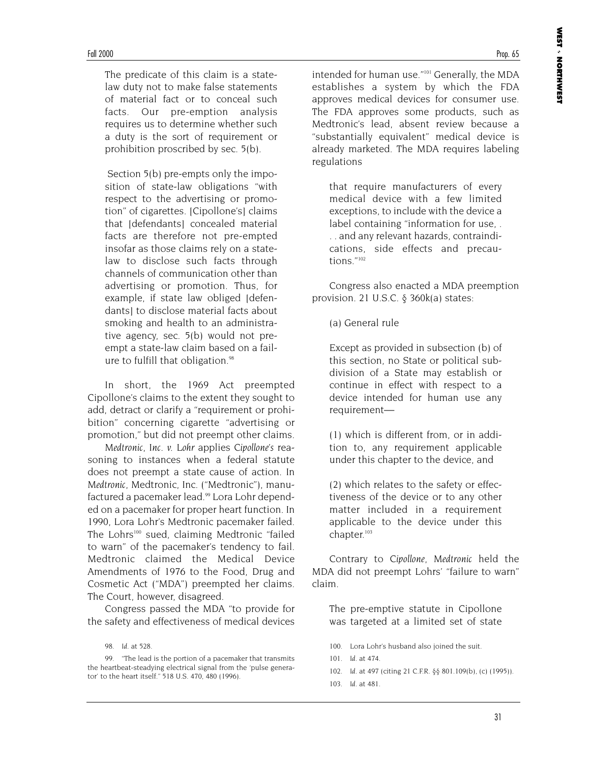The predicate of this claim is a statelaw duty not to make false statements of material fact or to conceal such facts. Our pre-emption analysis requires us to determine whether such a duty is the sort of requirement or prohibition proscribed by sec. 5(b).

Section 5(b) pre-empts only the imposition of state-law obligations "with respect to the advertising or promotion" of cigarettes. [Cipollone's] claims that [defendants] concealed material facts are therefore not pre-empted insofar as those claims rely on a statelaw to disclose such facts through channels of communication other than advertising or promotion. Thus, for example, if state law obliged [defendants] to disclose material facts about smoking and health to an administrative agency, sec. 5(b) would not preempt a state-law claim based on a failure to fulfill that obligation.<sup>98</sup>

In short, the 1969 Act preempted Cipollone's claims to the extent they sought to add, detract or clarify a "requirement or prohibition" concerning cigarette "advertising or promotion," but did not preempt other claims.

*Medtronic, Inc. v. Lohr* applies *Cipollone's* reasoning to instances when a federal statute does not preempt a state cause of action. In *Medtronic*, Medtronic, Inc. ("Medtronic"), manufactured a pacemaker lead.99 Lora Lohr depended on a pacemaker for proper heart function. In 1990, Lora Lohr's Medtronic pacemaker failed. The Lohrs<sup>100</sup> sued, claiming Medtronic "failed to warn" of the pacemaker's tendency to fail. Medtronic claimed the Medical Device Amendments of 1976 to the Food, Drug and Cosmetic Act ("MDA") preempted her claims. The Court, however, disagreed.

Congress passed the MDA "to provide for the safety and effectiveness of medical devices

intended for human use."101 Generally, the MDA establishes a system by which the FDA approves medical devices for consumer use. The FDA approves some products, such as Medtronic's lead, absent review because a "substantially equivalent" medical device is already marketed. The MDA requires labeling regulations

that require manufacturers of every medical device with a few limited exceptions, to include with the device a label containing "information for use, . . . and any relevant hazards, contraindications, side effects and precautions."102

Congress also enacted a MDA preemption provision. 21 U.S.C. § 360k(a) states:

(a) General rule

Except as provided in subsection (b) of this section, no State or political subdivision of a State may establish or continue in effect with respect to a device intended for human use any requirement—

(1) which is different from, or in addition to, any requirement applicable under this chapter to the device, and

(2) which relates to the safety or effectiveness of the device or to any other matter included in a requirement applicable to the device under this chapter.<sup>103</sup>

Contrary to *Cipollone*, *Medtronic* held the MDA did not preempt Lohrs' "failure to warn" claim.

The pre-emptive statute in Cipollone was targeted at a limited set of state

- 102. *Id*. at 497 (citing 21 C.F.R. §§ 801.109(b), (c) (1995)).
- 103. *Id*. at 481.

<sup>98.</sup> *Id*. at 528.

<sup>99. &</sup>quot;The lead is the portion of a pacemaker that transmits the heartbeat-steadying electrical signal from the 'pulse generator' to the heart itself." 518 U.S. 470, 480 (1996).

<sup>100.</sup> Lora Lohr's husband also joined the suit.

<sup>101.</sup> *Id.* at 474.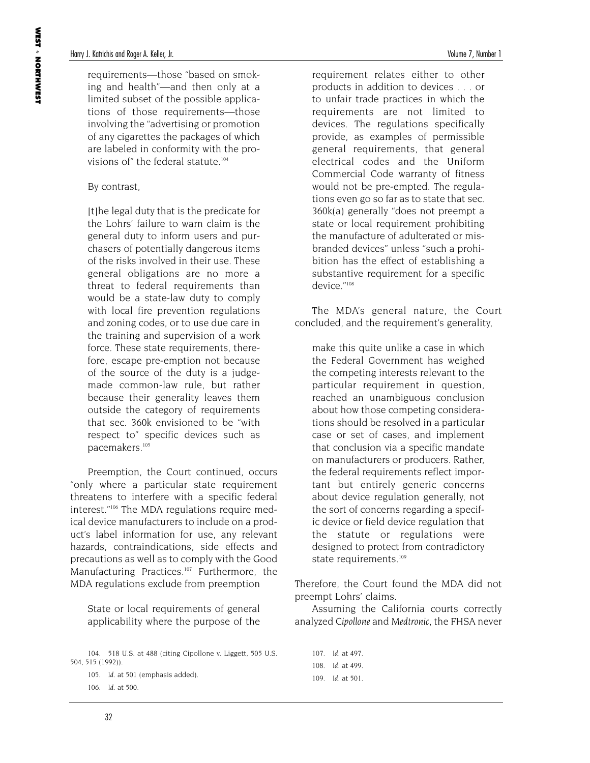requirements—those "based on smoking and health"—and then only at a limited subset of the possible applications of those requirements—those involving the "advertising or promotion of any cigarettes the packages of which are labeled in conformity with the provisions of" the federal statute.<sup>104</sup>

## By contrast,

[t]he legal duty that is the predicate for the Lohrs' failure to warn claim is the general duty to inform users and purchasers of potentially dangerous items of the risks involved in their use. These general obligations are no more a threat to federal requirements than would be a state-law duty to comply with local fire prevention regulations and zoning codes, or to use due care in the training and supervision of a work force. These state requirements, therefore, escape pre-emption not because of the source of the duty is a judgemade common-law rule, but rather because their generality leaves them outside the category of requirements that sec. 360k envisioned to be "with respect to" specific devices such as pacemakers.<sup>105</sup>

Preemption, the Court continued, occurs "only where a particular state requirement threatens to interfere with a specific federal interest."106 The MDA regulations require medical device manufacturers to include on a product's label information for use, any relevant hazards, contraindications, side effects and precautions as well as to comply with the Good Manufacturing Practices.<sup>107</sup> Furthermore, the MDA regulations exclude from preemption

State or local requirements of general applicability where the purpose of the

104. 518 U.S. at 488 (citing Cipollone v. Liggett, 505 U.S. 504, 515 (1992)).

- 105. *Id*. at 501 (emphasis added).
- 106. *Id*. at 500.

requirement relates either to other products in addition to devices . . . or to unfair trade practices in which the requirements are not limited to devices. The regulations specifically provide, as examples of permissible general requirements, that general electrical codes and the Uniform Commercial Code warranty of fitness would not be pre-empted. The regulations even go so far as to state that sec. 360k(a) generally "does not preempt a state or local requirement prohibiting the manufacture of adulterated or misbranded devices" unless "such a prohibition has the effect of establishing a substantive requirement for a specific device."108

The MDA's general nature, the Court concluded, and the requirement's generality,

make this quite unlike a case in which the Federal Government has weighed the competing interests relevant to the particular requirement in question, reached an unambiguous conclusion about how those competing considerations should be resolved in a particular case or set of cases, and implement that conclusion via a specific mandate on manufacturers or producers. Rather, the federal requirements reflect important but entirely generic concerns about device regulation generally, not the sort of concerns regarding a specific device or field device regulation that the statute or regulations were designed to protect from contradictory state requirements.<sup>109</sup>

Therefore, the Court found the MDA did not preempt Lohrs' claims.

Assuming the California courts correctly analyzed *Cipollone* and *Medtronic*, the FHSA never

107. *Id*. at 497. 108. *Id*. at 499. 109. *Id*. at 501.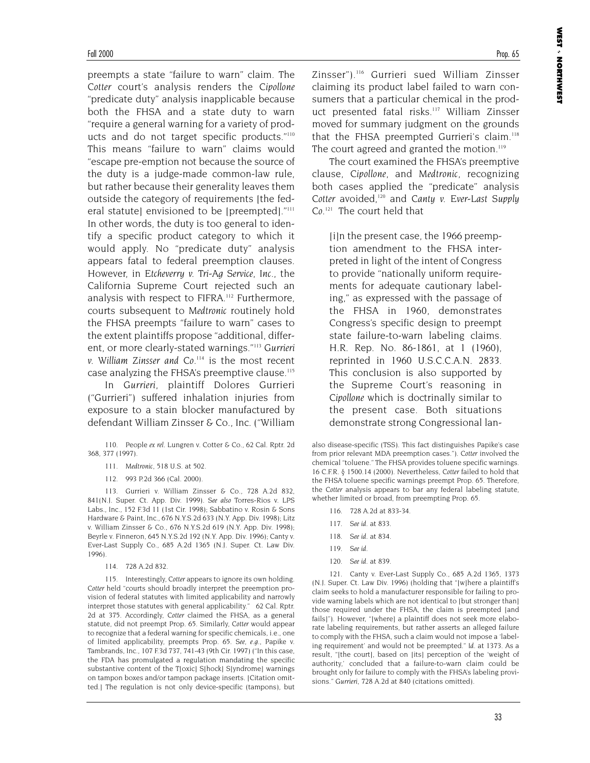preempts a state "failure to warn" claim. The *Cotter* court's analysis renders the *Cipollone* "predicate duty" analysis inapplicable because both the FHSA and a state duty to warn "require a general warning for a variety of products and do not target specific products."110 This means "failure to warn" claims would "escape pre-emption not because the source of the duty is a judge-made common-law rule, but rather because their generality leaves them outside the category of requirements [the federal statute] envisioned to be [preempted]."<sup>111</sup> In other words, the duty is too general to identify a specific product category to which it would apply. No "predicate duty" analysis appears fatal to federal preemption clauses. However, in *Etcheverry v. Tri-Ag Service, Inc.*, the California Supreme Court rejected such an analysis with respect to FIFRA.<sup>112</sup> Furthermore, courts subsequent to *Medtronic* routinely hold the FHSA preempts "failure to warn" cases to the extent plaintiffs propose "additional, different, or more clearly-stated warnings."113 *Gurrieri v. William Zinsser and Co.114* is the most recent case analyzing the FHSA's preemptive clause.115

In *Gurrieri*, plaintiff Dolores Gurrieri ("Gurrieri") suffered inhalation injuries from exposure to a stain blocker manufactured by defendant William Zinsser & Co., Inc. ("William

110. People *ex rel.* Lungren v. Cotter & Co., 62 Cal. Rptr. 2d 368, 377 (1997).

- 111. *Medtronic,* 518 U.S. at 502.
- 112. 993 P.2d 366 (Cal. 2000).

113. Gurrieri v. William Zinsser & Co., 728 A.2d 832, 841(N.J. Super. Ct. App. Div. 1999). *See also* Torres-Rios v. LPS Labs., Inc., 152 F.3d 11 (1st Cir. 1998); Sabbatino v. Rosin & Sons Hardware & Paint, Inc., 676 N.Y.S.2d 633 (N.Y. App. Div. 1998); Litz v. William Zinsser & Co., 676 N.Y.S.2d 619 (N.Y. App. Div. 1998); Beyrle v. Finneron, 645 N.Y.S.2d 192 (N.Y. App. Div. 1996); Canty v. Ever-Last Supply Co., 685 A.2d 1365 (N.J. Super. Ct. Law Div. 1996).

114. 728 A.2d 832.

115. Interestingly, *Cotter* appears to ignore its own holding. *Cotter* held "courts should broadly interpret the preemption provision of federal statutes with limited applicability and narrowly interpret those statutes with general applicability." 62 Cal. Rptr. 2d at 375. Accordingly, *Cotter* claimed the FHSA, as a general statute, did not preempt Prop. 65. Similarly, *Cotter* would appear to recognize that a federal warning for specific chemicals, i.e., one of limited applicability, preempts Prop. 65. *See*, *e.g.*, Papike v. Tambrands, Inc., 107 F.3d 737, 741-43 (9th Cir. 1997) ("In this case, the FDA has promulgated a regulation mandating the specific substantive content of the T[oxic] S[hock] S[yndrome] warnings on tampon boxes and/or tampon package inserts. [Citation omitted.] The regulation is not only device-specific (tampons), but

Zinsser").116 Gurrieri sued William Zinsser claiming its product label failed to warn consumers that a particular chemical in the product presented fatal risks.<sup>117</sup> William Zinsser moved for summary judgment on the grounds that the FHSA preempted Gurrieri's claim.<sup>118</sup> The court agreed and granted the motion.<sup>119</sup>

The court examined the FHSA's preemptive clause, *Cipollone*, and *Medtronic*, recognizing both cases applied the "predicate" analysis Cotter avoided,<sup>120</sup> and Canty v. Ever-Last Supply *Co*. <sup>121</sup> The court held that

[i]n the present case, the 1966 preemption amendment to the FHSA interpreted in light of the intent of Congress to provide "nationally uniform requirements for adequate cautionary labeling," as expressed with the passage of the FHSA in 1960, demonstrates Congress's specific design to preempt state failure-to-warn labeling claims. H.R. Rep. No. 86-1861, at 1 (1960), reprinted in 1960 U.S.C.C.A.N. 2833. This conclusion is also supported by the Supreme Court's reasoning in *Cipollone* which is doctrinally similar to the present case. Both situations demonstrate strong Congressional lan-

also disease-specific (TSS). This fact distinguishes Papike's case from prior relevant MDA preemption cases."). *Cotter* involved the chemical "toluene." The FHSA provides toluene specific warnings. 16 C.F.R. § 1500.14 (2000). Nevertheless, *Cotter* failed to hold that the FHSA toluene specific warnings preempt Prop. 65. Therefore, the *Cotter* analysis appears to bar any federal labeling statute, whether limited or broad, from preempting Prop. 65.

- 116. 728 A.2d at 833-34.
- 117. *See id*. at 833.
- 118. *See id*. at 834.
- 119. *See id*.
- 120. *See id*. at 839.

121. Canty v. Ever-Last Supply Co., 685 A.2d 1365, 1373 (N.J. Super. Ct. Law Div. 1996) (holding that "[w]here a plaintiff's claim seeks to hold a manufacturer responsible for failing to provide warning labels which are not identical to [but stronger than] those required under the FHSA, the claim is preempted [and fails]"). However, "[where] a plaintiff does not seek more elaborate labeling requirements, but rather asserts an alleged failure to comply with the FHSA, such a claim would not impose a 'labeling requirement' and would not be preempted." *Id*. at 1373. As a result, "[the court], based on [its] perception of the 'weight of authority,' concluded that a failure-to-warn claim could be brought only for failure to comply with the FHSA's labeling provisions." *Gurrieri,* 728 A.2d at 840 (citations omitted).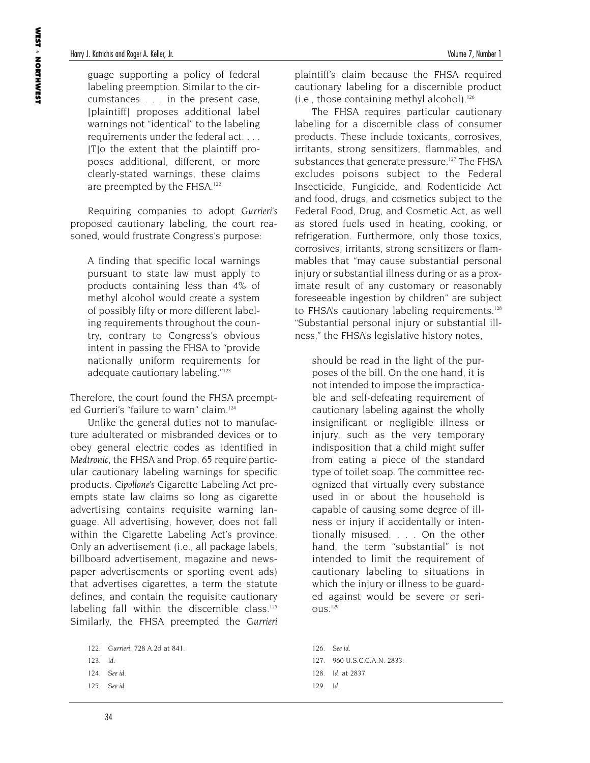guage supporting a policy of federal labeling preemption. Similar to the circumstances . . . in the present case, [plaintiff] proposes additional label warnings not "identical" to the labeling requirements under the federal act. . . . [T]o the extent that the plaintiff proposes additional, different, or more clearly-stated warnings, these claims are preempted by the FHSA.<sup>122</sup>

Requiring companies to adopt *Gurrieri's* proposed cautionary labeling, the court reasoned, would frustrate Congress's purpose:

A finding that specific local warnings pursuant to state law must apply to products containing less than 4% of methyl alcohol would create a system of possibly fifty or more different labeling requirements throughout the country, contrary to Congress's obvious intent in passing the FHSA to "provide nationally uniform requirements for adequate cautionary labeling."123

Therefore, the court found the FHSA preempted Gurrieri's "failure to warn" claim.<sup>124</sup>

Unlike the general duties not to manufacture adulterated or misbranded devices or to obey general electric codes as identified in *Medtronic*, the FHSA and Prop. 65 require particular cautionary labeling warnings for specific products. *Cipollone's* Cigarette Labeling Act preempts state law claims so long as cigarette advertising contains requisite warning language. All advertising, however, does not fall within the Cigarette Labeling Act's province. Only an advertisement (i.e., all package labels, billboard advertisement, magazine and newspaper advertisements or sporting event ads) that advertises cigarettes, a term the statute defines, and contain the requisite cautionary labeling fall within the discernible class.<sup>125</sup> Similarly, the FHSA preempted the *Gurrieri*

The FHSA requires particular cautionary labeling for a discernible class of consumer products. These include toxicants, corrosives, irritants, strong sensitizers, flammables, and substances that generate pressure.<sup>127</sup> The FHSA excludes poisons subject to the Federal Insecticide, Fungicide, and Rodenticide Act and food, drugs, and cosmetics subject to the Federal Food, Drug, and Cosmetic Act, as well as stored fuels used in heating, cooking, or refrigeration. Furthermore, only those toxics, corrosives, irritants, strong sensitizers or flammables that "may cause substantial personal injury or substantial illness during or as a proximate result of any customary or reasonably foreseeable ingestion by children" are subject to FHSA's cautionary labeling requirements.<sup>128</sup> "Substantial personal injury or substantial illness," the FHSA's legislative history notes,

should be read in the light of the purposes of the bill. On the one hand, it is not intended to impose the impracticable and self-defeating requirement of cautionary labeling against the wholly insignificant or negligible illness or injury, such as the very temporary indisposition that a child might suffer from eating a piece of the standard type of toilet soap. The committee recognized that virtually every substance used in or about the household is capable of causing some degree of illness or injury if accidentally or intentionally misused. . . . On the other hand, the term "substantial" is not intended to limit the requirement of cautionary labeling to situations in which the injury or illness to be guarded against would be severe or seri- $OUS.<sup>129</sup>$ 

126. *See id*. 127. 960 U.S.C.C.A.N. 2833. 128. *Id*. at 2837. 129. *Id*.

<sup>122.</sup> *Gurrieri,* 728 A.2d at 841. 123. *Id*.

<sup>124.</sup> *See id*.

<sup>125.</sup> *See id*.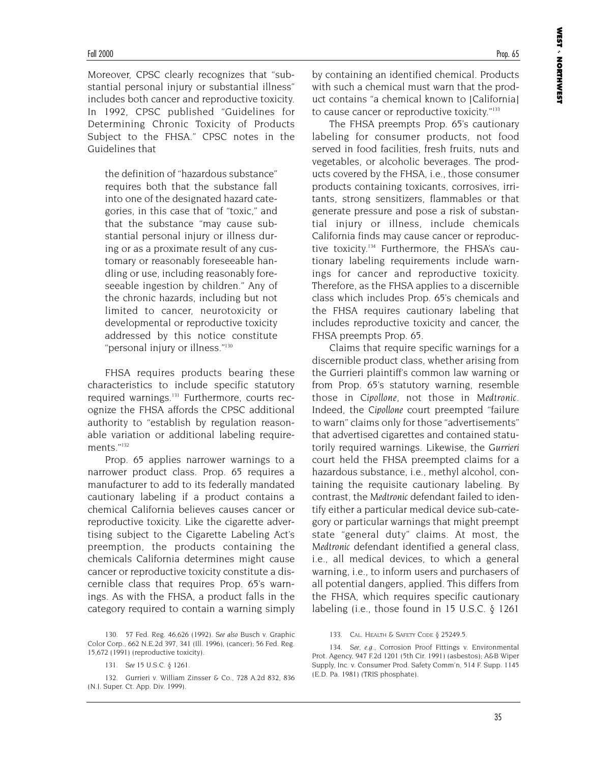Moreover, CPSC clearly recognizes that "substantial personal injury or substantial illness" includes both cancer and reproductive toxicity. In 1992, CPSC published "Guidelines for Determining Chronic Toxicity of Products Subject to the FHSA." CPSC notes in the Guidelines that

the definition of "hazardous substance" requires both that the substance fall into one of the designated hazard categories, in this case that of "toxic," and that the substance "may cause substantial personal injury or illness during or as a proximate result of any customary or reasonably foreseeable handling or use, including reasonably foreseeable ingestion by children." Any of the chronic hazards, including but not limited to cancer, neurotoxicity or developmental or reproductive toxicity addressed by this notice constitute "personal injury or illness."130

FHSA requires products bearing these characteristics to include specific statutory required warnings.<sup>131</sup> Furthermore, courts recognize the FHSA affords the CPSC additional authority to "establish by regulation reasonable variation or additional labeling requirements."132

Prop. 65 applies narrower warnings to a narrower product class. Prop. 65 requires a manufacturer to add to its federally mandated cautionary labeling if a product contains a chemical California believes causes cancer or reproductive toxicity. Like the cigarette advertising subject to the Cigarette Labeling Act's preemption, the products containing the chemicals California determines might cause cancer or reproductive toxicity constitute a discernible class that requires Prop. 65's warnings. As with the FHSA, a product falls in the category required to contain a warning simply by containing an identified chemical. Products with such a chemical must warn that the product contains "a chemical known to [California] to cause cancer or reproductive toxicity."<sup>133</sup>

The FHSA preempts Prop. 65's cautionary labeling for consumer products, not food served in food facilities, fresh fruits, nuts and vegetables, or alcoholic beverages. The products covered by the FHSA, i.e., those consumer products containing toxicants, corrosives, irritants, strong sensitizers, flammables or that generate pressure and pose a risk of substantial injury or illness, include chemicals California finds may cause cancer or reproductive toxicity.<sup>134</sup> Furthermore, the FHSA's cautionary labeling requirements include warnings for cancer and reproductive toxicity. Therefore, as the FHSA applies to a discernible class which includes Prop. 65's chemicals and the FHSA requires cautionary labeling that includes reproductive toxicity and cancer, the FHSA preempts Prop. 65.

Claims that require specific warnings for a discernible product class, whether arising from the Gurrieri plaintiff's common law warning or from Prop. 65's statutory warning, resemble those in *Cipollone*, not those in *Medtronic*. Indeed, the *Cipollone* court preempted "failure to warn" claims only for those "advertisements" that advertised cigarettes and contained statutorily required warnings. Likewise, the *Gurrieri* court held the FHSA preempted claims for a hazardous substance, i.e., methyl alcohol, containing the requisite cautionary labeling. By contrast, the *Medtronic* defendant failed to identify either a particular medical device sub-category or particular warnings that might preempt state "general duty" claims. At most, the *Medtronic* defendant identified a general class, i.e., all medical devices, to which a general warning, i.e., to inform users and purchasers of all potential dangers, applied. This differs from the FHSA, which requires specific cautionary labeling (i.e., those found in 15 U.S.C.  $\S$  1261

<sup>130. 57</sup> Fed. Reg. 46,626 (1992). *See also* Busch v. Graphic Color Corp., 662 N.E.2d 397, 341 (Ill. 1996), (cancer); 56 Fed. Reg. 15,672 (1991) (reproductive toxicity).

<sup>131.</sup> *See* 15 U.S.C. § 1261.

<sup>132.</sup> Gurrieri v. William Zinsser & Co., 728 A.2d 832, 836 (N.J. Super. Ct. App. Div. 1999).

<sup>133.</sup> CAL. HEALTH & SAFETY CODE § 25249.5.

<sup>134.</sup> *See*, *e.g.*, Corrosion Proof Fittings v. Environmental Prot. Agency, 947 F.2d 1201 (5th Cir. 1991) (asbestos); A&B Wiper Supply, Inc. v. Consumer Prod. Safety Comm'n, 514 F. Supp. 1145 (E.D. Pa. 1981) (TRIS phosphate).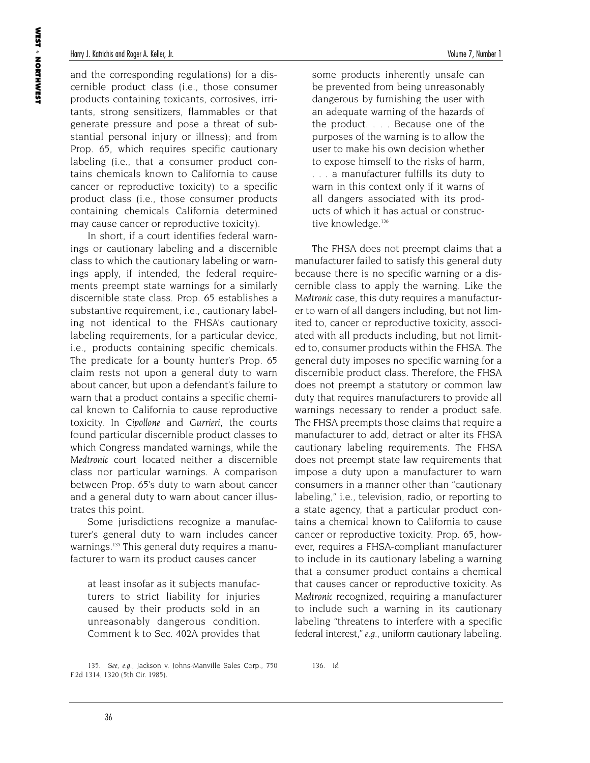and the corresponding regulations) for a discernible product class (i.e., those consumer products containing toxicants, corrosives, irritants, strong sensitizers, flammables or that generate pressure and pose a threat of substantial personal injury or illness); and from Prop. 65, which requires specific cautionary labeling (i.e., that a consumer product contains chemicals known to California to cause cancer or reproductive toxicity) to a specific product class (i.e., those consumer products containing chemicals California determined may cause cancer or reproductive toxicity).

In short, if a court identifies federal warnings or cautionary labeling and a discernible class to which the cautionary labeling or warnings apply, if intended, the federal requirements preempt state warnings for a similarly discernible state class. Prop. 65 establishes a substantive requirement, i.e., cautionary labeling not identical to the FHSA's cautionary labeling requirements, for a particular device, i.e., products containing specific chemicals. The predicate for a bounty hunter's Prop. 65 claim rests not upon a general duty to warn about cancer, but upon a defendant's failure to warn that a product contains a specific chemical known to California to cause reproductive toxicity. In *Cipollone* and *Gurrieri*, the courts found particular discernible product classes to which Congress mandated warnings, while the *Medtronic* court located neither a discernible class nor particular warnings. A comparison between Prop. 65's duty to warn about cancer and a general duty to warn about cancer illustrates this point.

Some jurisdictions recognize a manufacturer's general duty to warn includes cancer warnings.<sup>135</sup> This general duty requires a manufacturer to warn its product causes cancer

at least insofar as it subjects manufacturers to strict liability for injuries caused by their products sold in an unreasonably dangerous condition. Comment k to Sec. 402A provides that

some products inherently unsafe can be prevented from being unreasonably dangerous by furnishing the user with an adequate warning of the hazards of the product. . . . Because one of the purposes of the warning is to allow the user to make his own decision whether to expose himself to the risks of harm, . . . a manufacturer fulfills its duty to warn in this context only if it warns of all dangers associated with its products of which it has actual or constructive knowledge.<sup>136</sup>

The FHSA does not preempt claims that a manufacturer failed to satisfy this general duty because there is no specific warning or a discernible class to apply the warning. Like the *Medtronic* case, this duty requires a manufacturer to warn of all dangers including, but not limited to, cancer or reproductive toxicity, associated with all products including, but not limited to, consumer products within the FHSA. The general duty imposes no specific warning for a discernible product class. Therefore, the FHSA does not preempt a statutory or common law duty that requires manufacturers to provide all warnings necessary to render a product safe. The FHSA preempts those claims that require a manufacturer to add, detract or alter its FHSA cautionary labeling requirements. The FHSA does not preempt state law requirements that impose a duty upon a manufacturer to warn consumers in a manner other than "cautionary labeling," i.e., television, radio, or reporting to a state agency, that a particular product contains a chemical known to California to cause cancer or reproductive toxicity. Prop. 65, however, requires a FHSA-compliant manufacturer to include in its cautionary labeling a warning that a consumer product contains a chemical that causes cancer or reproductive toxicity. As *Medtronic* recognized, requiring a manufacturer to include such a warning in its cautionary labeling "threatens to interfere with a specific federal interest," *e.g.*, uniform cautionary labeling.

135. *See*, *e.g.*, Jackson v. Johns-Manville Sales Corp., 750 F.2d 1314, 1320 (5th Cir. 1985).

<sup>136.</sup> *Id*.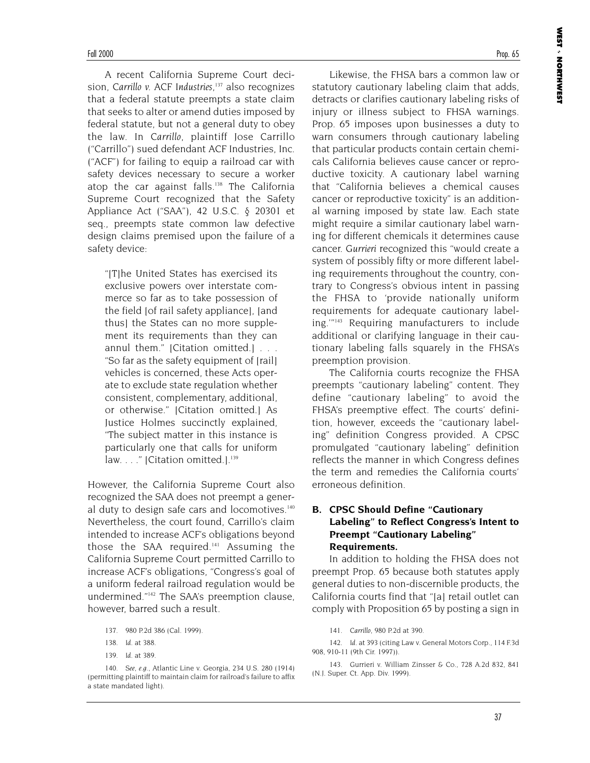A recent California Supreme Court decision, *Carrillo v. ACF Industries*, <sup>137</sup> also recognizes that a federal statute preempts a state claim that seeks to alter or amend duties imposed by federal statute, but not a general duty to obey the law. In *Carrillo*, plaintiff Jose Carrillo ("Carrillo") sued defendant ACF Industries, Inc. ("ACF") for failing to equip a railroad car with safety devices necessary to secure a worker atop the car against falls.138 The California Supreme Court recognized that the Safety Appliance Act ("SAA"), 42 U.S.C. § 20301 et seq., preempts state common law defective design claims premised upon the failure of a safety device:

"[T]he United States has exercised its exclusive powers over interstate commerce so far as to take possession of the field [of rail safety appliance], [and thus] the States can no more supplement its requirements than they can annul them." [Citation omitted.] . . . "So far as the safety equipment of [rail] vehicles is concerned, these Acts operate to exclude state regulation whether consistent, complementary, additional, or otherwise." [Citation omitted.] As Justice Holmes succinctly explained, "The subject matter in this instance is particularly one that calls for uniform law. . . ." [Citation omitted.].<sup>139</sup>

However, the California Supreme Court also recognized the SAA does not preempt a general duty to design safe cars and locomotives.<sup>140</sup> Nevertheless, the court found, Carrillo's claim intended to increase ACF's obligations beyond those the SAA required.<sup>141</sup> Assuming the California Supreme Court permitted Carrillo to increase ACF's obligations, "Congress's goal of a uniform federal railroad regulation would be undermined."142 The SAA's preemption clause, however, barred such a result.

- 137. 980 P.2d 386 (Cal. 1999).
- 138. *Id*. at 388.
- 139. *Id*. at 389.

140. *See*, *e.g.*, Atlantic Line v. Georgia, 234 U.S. 280 (1914) (permitting plaintiff to maintain claim for railroad's failure to affix a state mandated light).

**WEST** 

NORTHWEST

Likewise, the FHSA bars a common law or statutory cautionary labeling claim that adds, detracts or clarifies cautionary labeling risks of injury or illness subject to FHSA warnings. Prop. 65 imposes upon businesses a duty to warn consumers through cautionary labeling that particular products contain certain chemicals California believes cause cancer or reproductive toxicity. A cautionary label warning that "California believes a chemical causes cancer or reproductive toxicity" is an additional warning imposed by state law. Each state might require a similar cautionary label warning for different chemicals it determines cause cancer. *Gurrieri* recognized this "would create a system of possibly fifty or more different labeling requirements throughout the country, contrary to Congress's obvious intent in passing the FHSA to 'provide nationally uniform requirements for adequate cautionary labeling.'"143 Requiring manufacturers to include additional or clarifying language in their cautionary labeling falls squarely in the FHSA's preemption provision.

The California courts recognize the FHSA preempts "cautionary labeling" content. They define "cautionary labeling" to avoid the FHSA's preemptive effect. The courts' definition, however, exceeds the "cautionary labeling" definition Congress provided. A CPSC promulgated "cautionary labeling" definition reflects the manner in which Congress defines the term and remedies the California courts' erroneous definition.

## **B. CPSC Should Define "Cautionary Labeling" to Reflect Congress's Intent to Preempt "Cautionary Labeling" Requirements.**

In addition to holding the FHSA does not preempt Prop. 65 because both statutes apply general duties to non-discernible products, the California courts find that "[a] retail outlet can comply with Proposition 65 by posting a sign in

141. *Carrillo,* 980 P.2d at 390.

142. *Id.* at 393 (citing Law v. General Motors Corp., 114 F.3d 908, 910-11 (9th Cir. 1997)).

143. Gurrieri v. William Zinsser & Co., 728 A.2d 832, 841 (N.J. Super. Ct. App. Div. 1999).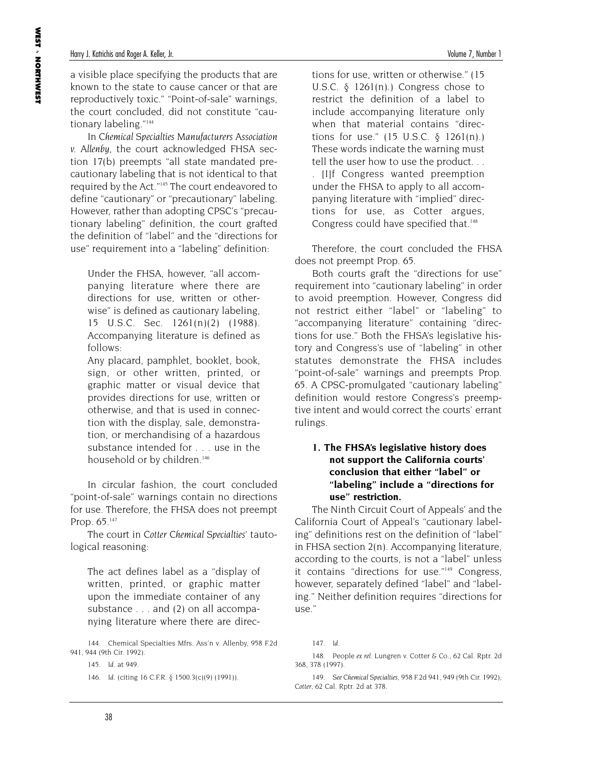a visible place specifying the products that are known to the state to cause cancer or that are reproductively toxic." "Point-of-sale" warnings, the court concluded, did not constitute "cautionary labeling."144

In *Chemical Specialties Manufacturers Association v. Allenby*, the court acknowledged FHSA section 17(b) preempts "all state mandated precautionary labeling that is not identical to that required by the Act."<sup>145</sup> The court endeavored to define "cautionary" or "precautionary" labeling. However, rather than adopting CPSC's "precautionary labeling" definition, the court grafted the definition of "label" and the "directions for use" requirement into a "labeling" definition:

Under the FHSA, however, "all accompanying literature where there are directions for use, written or otherwise" is defined as cautionary labeling, 15 U.S.C. Sec. 1261(n)(2) (1988). Accompanying literature is defined as follows:

Any placard, pamphlet, booklet, book, sign, or other written, printed, or graphic matter or visual device that provides directions for use, written or otherwise, and that is used in connection with the display, sale, demonstration, or merchandising of a hazardous substance intended for . . . use in the household or by children.<sup>146</sup>

In circular fashion, the court concluded "point-of-sale" warnings contain no directions for use. Therefore, the FHSA does not preempt Prop. 65.<sup>147</sup>

The court in *Cotter Chemical Specialties'* tautological reasoning:

The act defines label as a "display of written, printed, or graphic matter upon the immediate container of any substance . . . and (2) on all accompanying literature where there are direc-

144. Chemical Specialties Mfrs. Ass'n v. Allenby, 958 F.2d 941, 944 (9th Cir. 1992).

146. *Id*. (citing 16 C.F.R. § 1500.3(c)(9) (1991)).

tions for use, written or otherwise." (15 U.S.C.  $\delta$  1261(n).) Congress chose to restrict the definition of a label to include accompanying literature only when that material contains "directions for use." (15 U.S.C.  $\S$  1261(n).) These words indicate the warning must tell the user how to use the product. . .

. [I]f Congress wanted preemption under the FHSA to apply to all accompanying literature with "implied" directions for use, as Cotter argues, Congress could have specified that.<sup>148</sup>

Therefore, the court concluded the FHSA does not preempt Prop. 65.

Both courts graft the "directions for use" requirement into "cautionary labeling" in order to avoid preemption. However, Congress did not restrict either "label" or "labeling" to "accompanying literature" containing "directions for use." Both the FHSA's legislative history and Congress's use of "labeling" in other statutes demonstrate the FHSA includes "point-of-sale" warnings and preempts Prop. 65. A CPSC-promulgated "cautionary labeling" definition would restore Congress's preemptive intent and would correct the courts' errant rulings.

## **1. The FHSA's legislative history does not support the California courts' conclusion that either "label" or "labeling" include a "directions for use" restriction.**

The Ninth Circuit Court of Appeals' and the California Court of Appeal's "cautionary labeling" definitions rest on the definition of "label" in FHSA section 2(n). Accompanying literature, according to the courts, is not a "label" unless it contains "directions for use."149 Congress, however, separately defined "label" and "labeling." Neither definition requires "directions for use."

<sup>145.</sup> *Id*. at 949.

<sup>147.</sup> *Id*.

<sup>148.</sup> People *ex rel.* Lungren v. Cotter & Co., 62 Cal. Rptr. 2d 368, 378 (1997).

<sup>149.</sup> *See Chemical Specialties,* 958 F.2d 941, 949 (9th Cir. 1992); *Cotter*, 62 Cal. Rptr. 2d at 378.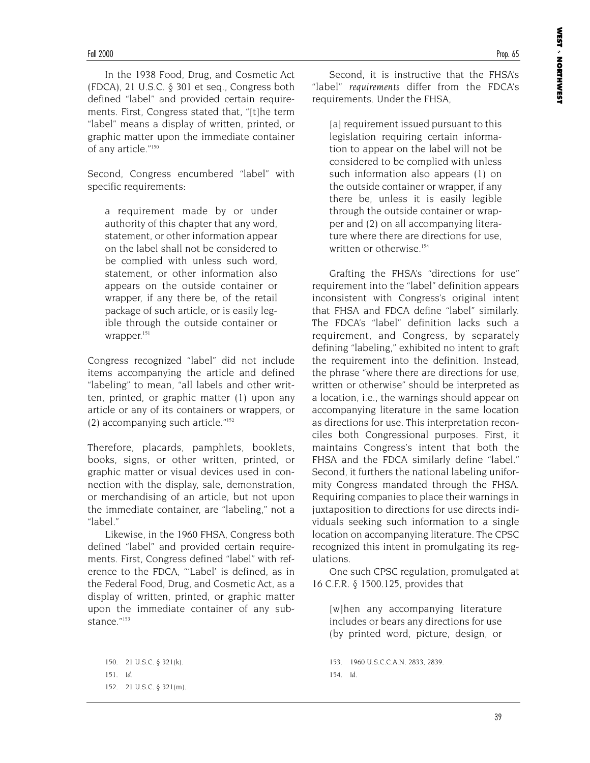In the 1938 Food, Drug, and Cosmetic Act (FDCA), 21 U.S.C. § 301 et seq., Congress both defined "label" and provided certain requirements. First, Congress stated that, "[t]he term "label" means a display of written, printed, or graphic matter upon the immediate container of any article."150

Second, Congress encumbered "label" with specific requirements:

a requirement made by or under authority of this chapter that any word, statement, or other information appear on the label shall not be considered to be complied with unless such word, statement, or other information also appears on the outside container or wrapper, if any there be, of the retail package of such article, or is easily legible through the outside container or wrapper.<sup>151</sup>

Congress recognized "label" did not include items accompanying the article and defined "labeling" to mean, "all labels and other written, printed, or graphic matter (1) upon any article or any of its containers or wrappers, or (2) accompanying such article."152

Therefore, placards, pamphlets, booklets, books, signs, or other written, printed, or graphic matter or visual devices used in connection with the display, sale, demonstration, or merchandising of an article, but not upon the immediate container, are "labeling," not a "label."

Likewise, in the 1960 FHSA, Congress both defined "label" and provided certain requirements. First, Congress defined "label" with reference to the FDCA, "'Label' is defined, as in the Federal Food, Drug, and Cosmetic Act, as a display of written, printed, or graphic matter upon the immediate container of any substance."153

Second, it is instructive that the FHSA's "label" *requirements* differ from the FDCA's requirements. Under the FHSA,

[a] requirement issued pursuant to this legislation requiring certain information to appear on the label will not be considered to be complied with unless such information also appears (1) on the outside container or wrapper, if any there be, unless it is easily legible through the outside container or wrapper and (2) on all accompanying literature where there are directions for use, written or otherwise.<sup>154</sup>

Grafting the FHSA's "directions for use" requirement into the "label" definition appears inconsistent with Congress's original intent that FHSA and FDCA define "label" similarly. The FDCA's "label" definition lacks such a requirement, and Congress, by separately defining "labeling," exhibited no intent to graft the requirement into the definition. Instead, the phrase "where there are directions for use, written or otherwise" should be interpreted as a location, i.e., the warnings should appear on accompanying literature in the same location as directions for use. This interpretation reconciles both Congressional purposes. First, it maintains Congress's intent that both the FHSA and the FDCA similarly define "label." Second, it furthers the national labeling uniformity Congress mandated through the FHSA. Requiring companies to place their warnings in juxtaposition to directions for use directs individuals seeking such information to a single location on accompanying literature. The CPSC recognized this intent in promulgating its regulations.

One such CPSC regulation, promulgated at 16 C.F.R. § 1500.125, provides that

[w]hen any accompanying literature includes or bears any directions for use (by printed word, picture, design, or

153. 1960 U.S.C.C.A.N. 2833, 2839.

154. *Id*.

<sup>150. 21</sup> U.S.C. § 321(k).

<sup>151.</sup> *Id*.

<sup>152. 21</sup> U.S.C. § 321(m).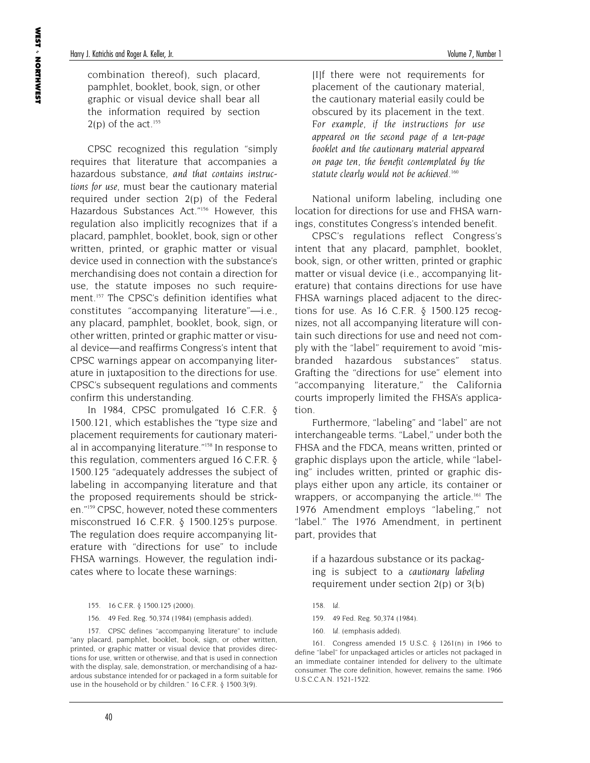combination thereof), such placard, pamphlet, booklet, book, sign, or other graphic or visual device shall bear all the information required by section  $2(p)$  of the act.<sup>155</sup>

CPSC recognized this regulation "simply requires that literature that accompanies a hazardous substance, *and that contains instructions for use*, must bear the cautionary material required under section 2(p) of the Federal Hazardous Substances Act."<sup>156</sup> However, this regulation also implicitly recognizes that if a placard, pamphlet, booklet, book, sign or other written, printed, or graphic matter or visual device used in connection with the substance's merchandising does not contain a direction for use, the statute imposes no such requirement.<sup>157</sup> The CPSC's definition identifies what constitutes "accompanying literature"—i.e., any placard, pamphlet, booklet, book, sign, or other written, printed or graphic matter or visual device—and reaffirms Congress's intent that CPSC warnings appear on accompanying literature in juxtaposition to the directions for use. CPSC's subsequent regulations and comments confirm this understanding.

In 1984, CPSC promulgated 16 C.F.R. § 1500.121, which establishes the "type size and placement requirements for cautionary material in accompanying literature."<sup>158</sup> In response to this regulation, commenters argued 16 C.F.R. § 1500.125 "adequately addresses the subject of labeling in accompanying literature and that the proposed requirements should be stricken."159 CPSC, however, noted these commenters misconstrued 16 C.F.R. § 1500.125's purpose. The regulation does require accompanying literature with "directions for use" to include FHSA warnings. However, the regulation indicates where to locate these warnings:

- 155. 16 C.F.R. § 1500.125 (2000).
- 156. 49 Fed. Reg. 50,374 (1984) (emphasis added).

157. CPSC defines "accompanying literature" to include "any placard, pamphlet, booklet, book, sign, or other written, printed, or graphic matter or visual device that provides directions for use, written or otherwise, and that is used in connection with the display, sale, demonstration, or merchandising of a hazardous substance intended for or packaged in a form suitable for use in the household or by children." 16 C.F.R. § 1500.3(9).

[I]f there were not requirements for placement of the cautionary material, the cautionary material easily could be obscured by its placement in the text. *For example, if the instructions for use appeared on the second page of a ten-page booklet and the cautionary material appeared on page ten, the benefit contemplated by the statute clearly would not be achieved.*<sup>160</sup>

National uniform labeling, including one location for directions for use and FHSA warnings, constitutes Congress's intended benefit.

CPSC's regulations reflect Congress's intent that any placard, pamphlet, booklet, book, sign, or other written, printed or graphic matter or visual device (i.e., accompanying literature) that contains directions for use have FHSA warnings placed adjacent to the directions for use. As 16 C.F.R. § 1500.125 recognizes, not all accompanying literature will contain such directions for use and need not comply with the "label" requirement to avoid "misbranded hazardous substances" status. Grafting the "directions for use" element into "accompanying literature," the California courts improperly limited the FHSA's application.

Furthermore, "labeling" and "label" are not interchangeable terms. "Label," under both the FHSA and the FDCA, means written, printed or graphic displays upon the article, while "labeling" includes written, printed or graphic displays either upon any article, its container or wrappers, or accompanying the article.<sup>161</sup> The 1976 Amendment employs "labeling," not "label." The 1976 Amendment, in pertinent part, provides that

if a hazardous substance or its packaging is subject to a *cautionary labeling* requirement under section 2(p) or 3(b)

- 158. *Id*.
- 159. 49 Fed. Reg. 50,374 (1984).
- 160. *Id*. (emphasis added).

161. Congress amended 15 U.S.C. § 1261(n) in 1966 to define "label" for unpackaged articles or articles not packaged in an immediate container intended for delivery to the ultimate consumer. The core definition, however, remains the same. 1966 U.S.C.C.A.N. 1521-1522.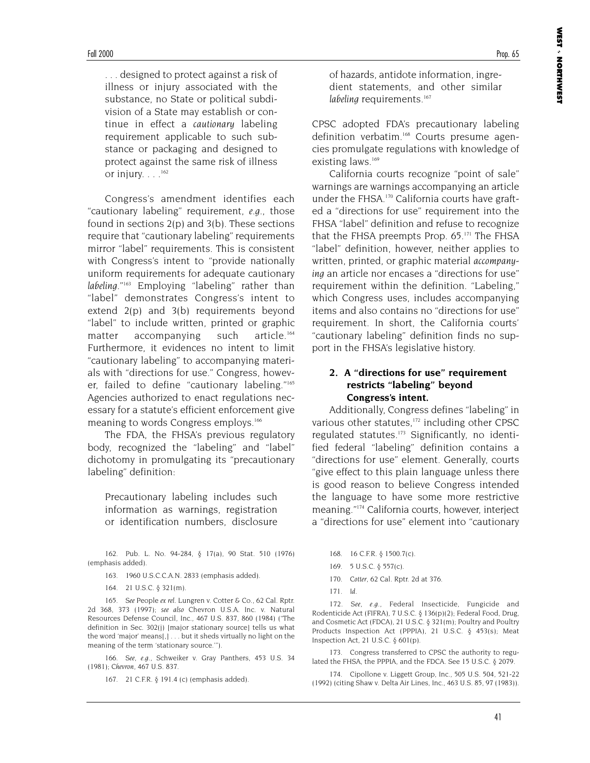. . . designed to protect against a risk of illness or injury associated with the substance, no State or political subdivision of a State may establish or continue in effect a *cautionary* labeling requirement applicable to such substance or packaging and designed to protect against the same risk of illness or injury.  $\ldots$ <sup>162</sup>

Congress's amendment identifies each "cautionary labeling" requirement, *e.g.*, those found in sections 2(p) and 3(b). These sections require that "cautionary labeling" requirements mirror "label" requirements. This is consistent with Congress's intent to "provide nationally uniform requirements for adequate cautionary *labeling*."163 Employing "labeling" rather than "label" demonstrates Congress's intent to extend 2(p) and 3(b) requirements beyond "label" to include written, printed or graphic matter accompanying such article.<sup>164</sup> Furthermore, it evidences no intent to limit "cautionary labeling" to accompanying materials with "directions for use." Congress, however, failed to define "cautionary labeling."165 Agencies authorized to enact regulations necessary for a statute's efficient enforcement give meaning to words Congress employs.<sup>166</sup>

The FDA, the FHSA's previous regulatory body, recognized the "labeling" and "label" dichotomy in promulgating its "precautionary labeling" definition:

Precautionary labeling includes such information as warnings, registration or identification numbers, disclosure

162. Pub. L. No. 94-284, § 17(a), 90 Stat. 510 (1976) (emphasis added).

- 163. 1960 U.S.C.C.A.N. 2833 (emphasis added).
- 164. 21 U.S.C. § 321(m).

165. *See* People *ex rel.* Lungren v. Cotter & Co., 62 Cal. Rptr. 2d 368, 373 (1997); *see also* Chevron U.S.A. Inc. v. Natural Resources Defense Council, Inc., 467 U.S. 837, 860 (1984) ("The definition in Sec. 302(j) [major stationary source] tells us what the word 'major' means[,] . . . but it sheds virtually no light on the meaning of the term 'stationary source.'").

166. *See*, *e.g.*, Schweiker v. Gray Panthers, 453 U.S. 34 (1981); *Chevron*, 467 U.S. 837.

167. 21 C.F.R. § 191.4 (c) (emphasis added).

of hazards, antidote information, ingredient statements, and other similar *labeling* requirements.<sup>167</sup>

CPSC adopted FDA's precautionary labeling definition verbatim.<sup>168</sup> Courts presume agencies promulgate regulations with knowledge of existing laws.<sup>169</sup>

California courts recognize "point of sale" warnings are warnings accompanying an article under the FHSA.<sup>170</sup> California courts have grafted a "directions for use" requirement into the FHSA "label" definition and refuse to recognize that the FHSA preempts Prop. 65.171 The FHSA "label" definition, however, neither applies to written, printed, or graphic material *accompanying* an article nor encases a "directions for use" requirement within the definition. "Labeling," which Congress uses, includes accompanying items and also contains no "directions for use" requirement. In short, the California courts' "cautionary labeling" definition finds no support in the FHSA's legislative history.

## **2. A "directions for use" requirement restricts "labeling" beyond Congress's intent.**

Additionally, Congress defines "labeling" in various other statutes,<sup>172</sup> including other CPSC regulated statutes.<sup>173</sup> Significantly, no identified federal "labeling" definition contains a "directions for use" element. Generally, courts "give effect to this plain language unless there is good reason to believe Congress intended the language to have some more restrictive meaning."174 California courts, however, interject a "directions for use" element into "cautionary

168. 16 C.F.R. § 1500.7(c).

- 170. *Cotter*, 62 Cal. Rptr. 2d at 376.
- 171. *Id*.

172. *See, e.g.*, Federal Insecticide, Fungicide and Rodenticide Act (FIFRA), 7 U.S.C. § 136(p)(2); Federal Food, Drug, and Cosmetic Act (FDCA), 21 U.S.C. § 321(m); Poultry and Poultry Products Inspection Act (PPPIA), 21 U.S.C. § 453(s); Meat Inspection Act, 21 U.S.C.  $\S 601(p)$ .

173. Congress transferred to CPSC the authority to regulated the FHSA, the PPPIA, and the FDCA. See 15 U.S.C. § 2079.

174. Cipollone v. Liggett Group, Inc., 505 U.S. 504, 521-22 (1992) (citing Shaw v. Delta Air Lines, Inc., 463 U.S. 85, 97 (1983)).

<sup>169. 5</sup> U.S.C. § 557(c).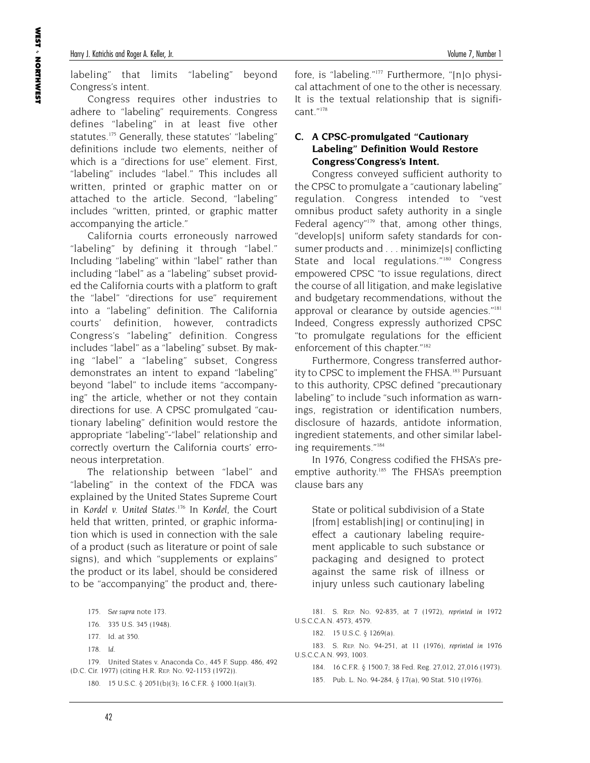labeling" that limits "labeling" beyond Congress's intent.

Congress requires other industries to adhere to "labeling" requirements. Congress defines "labeling" in at least five other statutes.<sup>175</sup> Generally, these statutes' "labeling" definitions include two elements, neither of which is a "directions for use" element. First, "labeling" includes "label." This includes all written, printed or graphic matter on or attached to the article. Second, "labeling" includes "written, printed, or graphic matter accompanying the article."

California courts erroneously narrowed "labeling" by defining it through "label." Including "labeling" within "label" rather than including "label" as a "labeling" subset provided the California courts with a platform to graft the "label" "directions for use" requirement into a "labeling" definition. The California courts' definition, however, contradicts Congress's "labeling" definition. Congress includes "label" as a "labeling" subset. By making "label" a "labeling" subset, Congress demonstrates an intent to expand "labeling" beyond "label" to include items "accompanying" the article, whether or not they contain directions for use. A CPSC promulgated "cautionary labeling" definition would restore the appropriate "labeling"-"label" relationship and correctly overturn the California courts' erroneous interpretation.

The relationship between "label" and "labeling" in the context of the FDCA was explained by the United States Supreme Court in *Kordel v. United States*. <sup>176</sup> In *Kordel*, the Court held that written, printed, or graphic information which is used in connection with the sale of a product (such as literature or point of sale signs), and which "supplements or explains" the product or its label, should be considered to be "accompanying" the product and, there-

- 175. *See supra* note 173.
- 176. 335 U.S. 345 (1948).
- 177. Id. at 350.
- 178. *Id*.

179. United States v. Anaconda Co., 445 F. Supp. 486, 492 (D.C. Cir. 1977) (citing H.R. REP. NO. 92-1153 (1972)).

180. 15 U.S.C. § 2051(b)(3); 16 C.F.R. § 1000.1(a)(3).

fore, is "labeling."177 Furthermore, "[n]o physical attachment of one to the other is necessary. It is the textual relationship that is significant."178

## **C. A CPSC-promulgated "Cautionary Labeling" Definition Would Restore Congress'Congress's Intent.**

Congress conveyed sufficient authority to the CPSC to promulgate a "cautionary labeling" regulation. Congress intended to "vest omnibus product safety authority in a single Federal agency"<sup>179</sup> that, among other things, "develop[s] uniform safety standards for consumer products and . . . minimize[s] conflicting State and local regulations."<sup>180</sup> Congress empowered CPSC "to issue regulations, direct the course of all litigation, and make legislative and budgetary recommendations, without the approval or clearance by outside agencies."<sup>181</sup> Indeed, Congress expressly authorized CPSC "to promulgate regulations for the efficient enforcement of this chapter."182

Furthermore, Congress transferred authority to CPSC to implement the FHSA.<sup>183</sup> Pursuant to this authority, CPSC defined "precautionary labeling" to include "such information as warnings, registration or identification numbers, disclosure of hazards, antidote information, ingredient statements, and other similar labeling requirements."184

In 1976, Congress codified the FHSA's preemptive authority.<sup>185</sup> The FHSA's preemption clause bars any

State or political subdivision of a State [from] establish[ing] or continu[ing] in effect a cautionary labeling requirement applicable to such substance or packaging and designed to protect against the same risk of illness or injury unless such cautionary labeling

181. S. REP. NO. 92-835, at 7 (1972), *reprinted in* 1972 U.S.C.C.A.N. 4573, 4579.

182. 15 U.S.C. § 1269(a).

183. S. REP. NO. 94-251, at 11 (1976), *reprinted in* 1976 U.S.C.C.A.N. 993, 1003.

184. 16 C.F.R. § 1500.7; 38 Fed. Reg. 27,012, 27,016 (1973).

185. Pub. L. No. 94-284, § 17(a), 90 Stat. 510 (1976).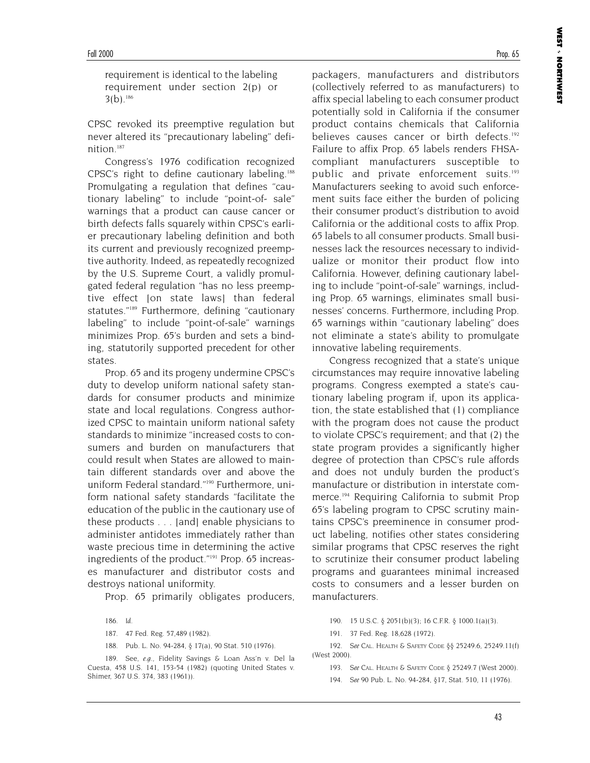requirement is identical to the labeling requirement under section 2(p) or  $3(b).^{186}$ 

CPSC revoked its preemptive regulation but never altered its "precautionary labeling" definition.187

Congress's 1976 codification recognized CPSC's right to define cautionary labeling.<sup>188</sup> Promulgating a regulation that defines "cautionary labeling" to include "point-of- sale" warnings that a product can cause cancer or birth defects falls squarely within CPSC's earlier precautionary labeling definition and both its current and previously recognized preemptive authority. Indeed, as repeatedly recognized by the U.S. Supreme Court, a validly promulgated federal regulation "has no less preemptive effect [on state laws] than federal statutes."189 Furthermore, defining "cautionary labeling" to include "point-of-sale" warnings minimizes Prop. 65's burden and sets a binding, statutorily supported precedent for other states.

Prop. 65 and its progeny undermine CPSC's duty to develop uniform national safety standards for consumer products and minimize state and local regulations. Congress authorized CPSC to maintain uniform national safety standards to minimize "increased costs to consumers and burden on manufacturers that could result when States are allowed to maintain different standards over and above the uniform Federal standard."190 Furthermore, uniform national safety standards "facilitate the education of the public in the cautionary use of these products . . . [and] enable physicians to administer antidotes immediately rather than waste precious time in determining the active ingredients of the product."191 Prop. 65 increases manufacturer and distributor costs and destroys national uniformity.

Prop. 65 primarily obligates producers,

189. See, *e.g.*, Fidelity Savings & Loan Ass'n v. Del la Cuesta, 458 U.S. 141, 153-54 (1982) (quoting United States v. Shimer, 367 U.S. 374, 383 (1961)).

packagers, manufacturers and distributors (collectively referred to as manufacturers) to affix special labeling to each consumer product potentially sold in California if the consumer product contains chemicals that California believes causes cancer or birth defects.<sup>192</sup> Failure to affix Prop. 65 labels renders FHSAcompliant manufacturers susceptible to public and private enforcement suits.<sup>193</sup> Manufacturers seeking to avoid such enforcement suits face either the burden of policing their consumer product's distribution to avoid California or the additional costs to affix Prop. 65 labels to all consumer products. Small businesses lack the resources necessary to individualize or monitor their product flow into California. However, defining cautionary labeling to include "point-of-sale" warnings, including Prop. 65 warnings, eliminates small businesses' concerns. Furthermore, including Prop. 65 warnings within "cautionary labeling" does not eliminate a state's ability to promulgate innovative labeling requirements.

Congress recognized that a state's unique circumstances may require innovative labeling programs. Congress exempted a state's cautionary labeling program if, upon its application, the state established that (1) compliance with the program does not cause the product to violate CPSC's requirement; and that (2) the state program provides a significantly higher degree of protection than CPSC's rule affords and does not unduly burden the product's manufacture or distribution in interstate commerce.194 Requiring California to submit Prop 65's labeling program to CPSC scrutiny maintains CPSC's preeminence in consumer product labeling, notifies other states considering similar programs that CPSC reserves the right to scrutinize their consumer product labeling programs and guarantees minimal increased costs to consumers and a lesser burden on manufacturers.

190. 15 U.S.C. § 2051(b)(3); 16 C.F.R. § 1000.1(a)(3).

191. 37 Fed. Reg. 18,628 (1972).

192. *See* CAL. HEALTH & SAFETY CODE §§ 25249.6, 25249.11(f) (West 2000).

- 193. *See* CAL. HEALTH & SAFETY CODE § 25249.7 (West 2000).
- 194. *See* 90 Pub. L. No. 94-284, §17, Stat. 510, 11 (1976).

<sup>186.</sup> *Id*.

<sup>187. 47</sup> Fed. Reg. 57,489 (1982).

<sup>188.</sup> Pub. L. No. 94-284, § 17(a), 90 Stat. 510 (1976).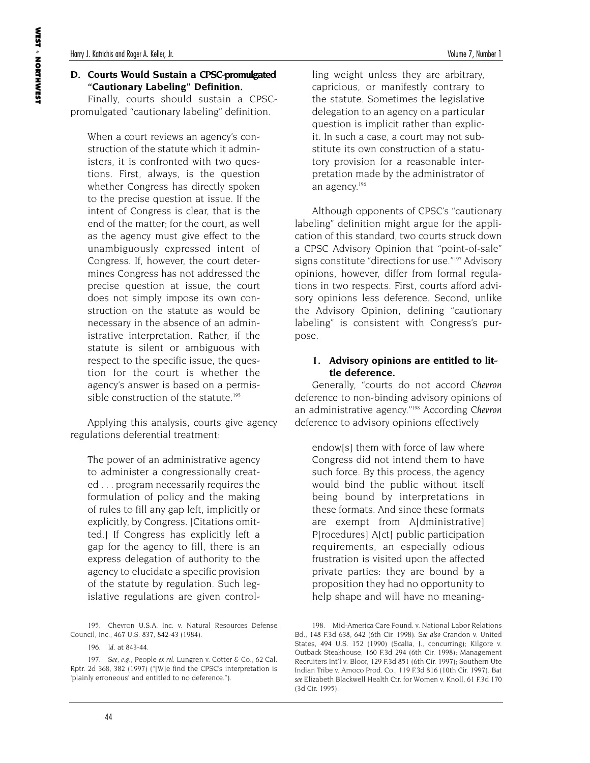## **D. Courts Would Sustain a CPSC-promulgated "Cautionary Labeling" Definition.**

Finally, courts should sustain a CPSCpromulgated "cautionary labeling" definition.

When a court reviews an agency's construction of the statute which it administers, it is confronted with two questions. First, always, is the question whether Congress has directly spoken to the precise question at issue. If the intent of Congress is clear, that is the end of the matter; for the court, as well as the agency must give effect to the unambiguously expressed intent of Congress. If, however, the court determines Congress has not addressed the precise question at issue, the court does not simply impose its own construction on the statute as would be necessary in the absence of an administrative interpretation. Rather, if the statute is silent or ambiguous with respect to the specific issue, the question for the court is whether the agency's answer is based on a permissible construction of the statute.<sup>195</sup>

Applying this analysis, courts give agency regulations deferential treatment:

The power of an administrative agency to administer a congressionally created . . . program necessarily requires the formulation of policy and the making of rules to fill any gap left, implicitly or explicitly, by Congress. [Citations omitted.] If Congress has explicitly left a gap for the agency to fill, there is an express delegation of authority to the agency to elucidate a specific provision of the statute by regulation. Such legislative regulations are given control-

195. Chevron U.S.A. Inc. v. Natural Resources Defense Council, Inc., 467 U.S. 837, 842-43 (1984).

196. *Id*. at 843-44.

ling weight unless they are arbitrary, capricious, or manifestly contrary to the statute. Sometimes the legislative delegation to an agency on a particular question is implicit rather than explicit. In such a case, a court may not substitute its own construction of a statutory provision for a reasonable interpretation made by the administrator of an agency.196

Although opponents of CPSC's "cautionary labeling" definition might argue for the application of this standard, two courts struck down a CPSC Advisory Opinion that "point-of-sale" signs constitute "directions for use."<sup>197</sup> Advisory opinions, however, differ from formal regulations in two respects. First, courts afford advisory opinions less deference. Second, unlike the Advisory Opinion, defining "cautionary labeling" is consistent with Congress's purpose.

## **1. Advisory opinions are entitled to little deference.**

Generally, "courts do not accord *Chevron* deference to non-binding advisory opinions of an administrative agency."198 According *Chevron* deference to advisory opinions effectively

endow[s] them with force of law where Congress did not intend them to have such force. By this process, the agency would bind the public without itself being bound by interpretations in these formats. And since these formats are exempt from A[dministrative] P[rocedures] A[ct] public participation requirements, an especially odious frustration is visited upon the affected private parties: they are bound by a proposition they had no opportunity to help shape and will have no meaning-

198. Mid-America Care Found. v. National Labor Relations Bd., 148 F.3d 638, 642 (6th Cir. 1998). *See also* Crandon v. United States, 494 U.S. 152 (1990) (Scalia, J., concurring); Kilgore v. Outback Steakhouse, 160 F.3d 294 (6th Cir. 1998); Management Recruiters Int'l v. Bloor, 129 F.3d 851 (6th Cir. 1997); Southern Ute Indian Tribe v. Amoco Prod. Co., 119 F.3d 816 (10th Cir. 1997). *But see* Elizabeth Blackwell Health Ctr. for Women v. Knoll, 61 F.3d 170 (3d Cir. 1995).

44

<sup>197.</sup> *See*, *e.g.*, People *ex rel.* Lungren v. Cotter & Co., 62 Cal. Rptr. 2d 368, 382 (1997) ("[W]e find the CPSC's interpretation is 'plainly erroneous' and entitled to no deference.").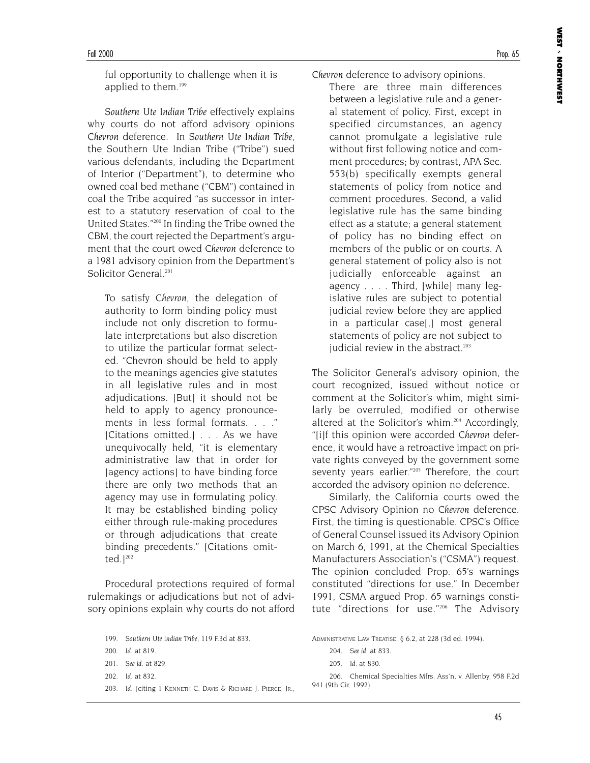ful opportunity to challenge when it is applied to them.<sup>199</sup>

*Southern Ute Indian Tribe* effectively explains why courts do not afford advisory opinions *Chevron* deference. In *Southern Ute Indian Tribe*, the Southern Ute Indian Tribe ("Tribe") sued various defendants, including the Department of Interior ("Department"), to determine who owned coal bed methane ("CBM") contained in coal the Tribe acquired "as successor in interest to a statutory reservation of coal to the United States."200 In finding the Tribe owned the CBM, the court rejected the Department's argument that the court owed *Chevron* deference to a 1981 advisory opinion from the Department's Solicitor General.<sup>201</sup>

To satisfy *Chevron*, the delegation of authority to form binding policy must include not only discretion to formulate interpretations but also discretion to utilize the particular format selected. "Chevron should be held to apply to the meanings agencies give statutes in all legislative rules and in most adjudications. [But] it should not be held to apply to agency pronouncements in less formal formats. . . ." [Citations omitted.] . . . As we have unequivocally held, "it is elementary administrative law that in order for [agency actions] to have binding force there are only two methods that an agency may use in formulating policy. It may be established binding policy either through rule-making procedures or through adjudications that create binding precedents." [Citations omitted. $]^{202}$ 

Procedural protections required of formal rulemakings or adjudications but not of advisory opinions explain why courts do not afford

199. *Southern Ute Indian Tribe*, 119 F.3d at 833.

- 201. *See id*. at 829.
- 202. *Id*. at 832.
- 203. *Id*. (citing 1 KENNETH C. DAVIS & RICHARD J. PIERCE, JR.,

*Chevron* deference to advisory opinions.

There are three main differences between a legislative rule and a general statement of policy. First, except in specified circumstances, an agency cannot promulgate a legislative rule without first following notice and comment procedures; by contrast, APA Sec. 553(b) specifically exempts general statements of policy from notice and comment procedures. Second, a valid legislative rule has the same binding effect as a statute; a general statement of policy has no binding effect on members of the public or on courts. A general statement of policy also is not judicially enforceable against an agency . . . . Third, [while] many legislative rules are subject to potential judicial review before they are applied in a particular case[,] most general statements of policy are not subject to judicial review in the abstract.<sup>203</sup>

The Solicitor General's advisory opinion, the court recognized, issued without notice or comment at the Solicitor's whim, might similarly be overruled, modified or otherwise altered at the Solicitor's whim.<sup>204</sup> Accordingly, "[i]f this opinion were accorded *Chevron* deference, it would have a retroactive impact on private rights conveyed by the government some seventy years earlier."<sup>205</sup> Therefore, the court accorded the advisory opinion no deference.

Similarly, the California courts owed the CPSC Advisory Opinion no *Chevron* deference. First, the timing is questionable. CPSC's Office of General Counsel issued its Advisory Opinion on March 6, 1991, at the Chemical Specialties Manufacturers Association's ("CSMA") request. The opinion concluded Prop. 65's warnings constituted "directions for use." In December 1991, CSMA argued Prop. 65 warnings constitute "directions for use."<sup>206</sup> The Advisory

<sup>200.</sup> *Id*. at 819.

ADMINISTRATIVE LAW TREATISE, § 6.2, at 228 (3d ed. 1994).

<sup>204.</sup> *See id*. at 833.

<sup>205.</sup> *Id*. at 830.

<sup>206.</sup> Chemical Specialties Mfrs. Ass'n, v. Allenby, 958 F.2d 941 (9th Cir. 1992).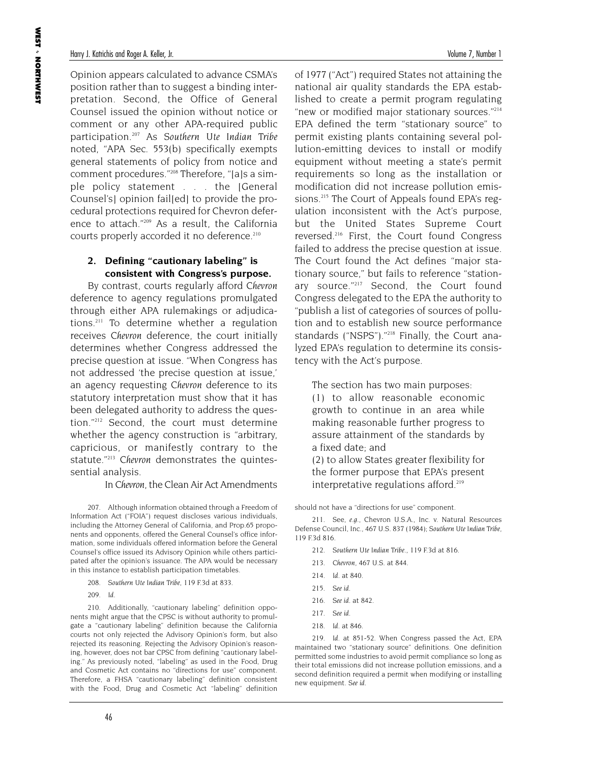#### Harry J. Katrichis and Roger A. Keller, Jr. Volume 7, Number 1

Opinion appears calculated to advance CSMA's position rather than to suggest a binding interpretation. Second, the Office of General Counsel issued the opinion without notice or comment or any other APA-required public participation.207 As *Southern Ute Indian Tribe* noted, "APA Sec. 553(b) specifically exempts general statements of policy from notice and comment procedures."208 Therefore, "[a]s a simple policy statement . . . the [General Counsel's] opinion fail[ed] to provide the procedural protections required for Chevron deference to attach."<sup>209</sup> As a result, the California courts properly accorded it no deference.<sup>210</sup>

#### **2. Defining "cautionary labeling" is consistent with Congress's purpose.**

By contrast, courts regularly afford *Chevron* deference to agency regulations promulgated through either APA rulemakings or adjudications.211 To determine whether a regulation receives *Chevron* deference, the court initially determines whether Congress addressed the precise question at issue. "When Congress has not addressed 'the precise question at issue,' an agency requesting *Chevron* deference to its statutory interpretation must show that it has been delegated authority to address the question."212 Second, the court must determine whether the agency construction is "arbitrary, capricious, or manifestly contrary to the statute."213 *Chevron* demonstrates the quintessential analysis.

In *Chevron*, the Clean Air Act Amendments

207. Although information obtained through a Freedom of Information Act ("FOIA") request discloses various individuals, including the Attorney General of California, and Prop.65 proponents and opponents, offered the General Counsel's office information, some individuals offered information before the General Counsel's office issued its Advisory Opinion while others participated after the opinion's issuance. The APA would be necessary in this instance to establish participation timetables.

- 208. *Southern Ute Indian Tribe,* 119 F.3d at 833.
- 209. *Id*.

210. Additionally, "cautionary labeling" definition opponents might argue that the CPSC is without authority to promulgate a "cautionary labeling" definition because the California courts not only rejected the Advisory Opinion's form, but also rejected its reasoning. Rejecting the Advisory Opinion's reasoning, however, does not bar CPSC from defining "cautionary labeling." As previously noted, "labeling" as used in the Food, Drug and Cosmetic Act contains no "directions for use" component. Therefore, a FHSA "cautionary labeling" definition consistent with the Food, Drug and Cosmetic Act "labeling" definition

of 1977 ("Act") required States not attaining the national air quality standards the EPA established to create a permit program regulating "new or modified major stationary sources."214 EPA defined the term "stationary source" to permit existing plants containing several pollution-emitting devices to install or modify equipment without meeting a state's permit requirements so long as the installation or modification did not increase pollution emissions.<sup>215</sup> The Court of Appeals found EPA's regulation inconsistent with the Act's purpose, but the United States Supreme Court reversed.216 First, the Court found Congress failed to address the precise question at issue. The Court found the Act defines "major stationary source," but fails to reference "stationary source."<sup>217</sup> Second, the Court found Congress delegated to the EPA the authority to "publish a list of categories of sources of pollution and to establish new source performance standards ("NSPS")."218 Finally, the Court analyzed EPA's regulation to determine its consistency with the Act's purpose.

The section has two main purposes:

(1) to allow reasonable economic growth to continue in an area while making reasonable further progress to assure attainment of the standards by a fixed date; and

(2) to allow States greater flexibility for the former purpose that EPA's present interpretative regulations afford.<sup>219</sup>

should not have a "directions for use" component.

211. See, *e.g.*, Chevron U.S.A., Inc. v. Natural Resources Defense Council, Inc., 467 U.S. 837 (1984); *Southern Ute Indian Tribe,* 119 F.3d 816.

- 212. *Southern Ute Indian Tribe*., 119 F.3d at 816.
- 213. *Chevron*, 467 U.S. at 844.
- 214. *Id*. at 840.
- 215. *See id*.
- 216. *See id*. at 842.
- 217. *See id.*
- 218. *Id.* at 846.

219. *Id*. at 851-52. When Congress passed the Act, EPA maintained two "stationary source" definitions. One definition permitted some industries to avoid permit compliance so long as their total emissions did not increase pollution emissions, and a second definition required a permit when modifying or installing new equipment. *See id*.

**WEST** 

NORTHWEST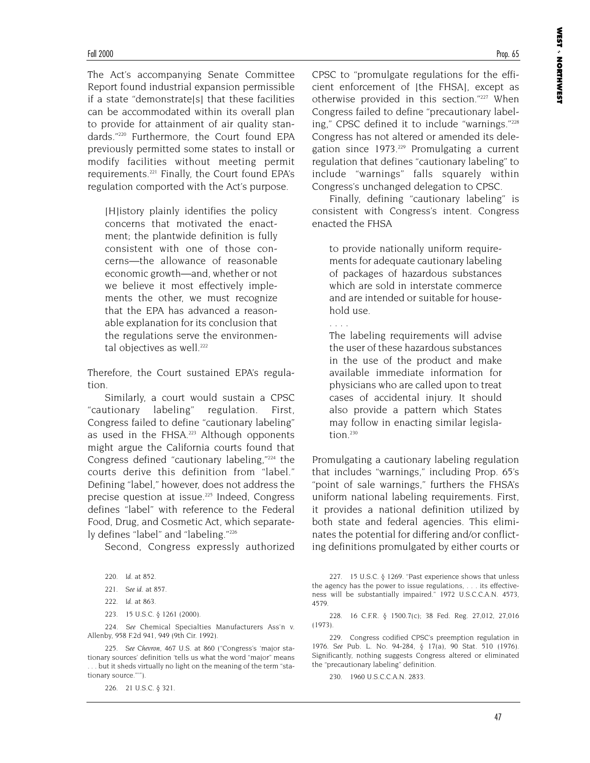The Act's accompanying Senate Committee Report found industrial expansion permissible if a state "demonstrate[s] that these facilities can be accommodated within its overall plan to provide for attainment of air quality standards."220 Furthermore, the Court found EPA previously permitted some states to install or modify facilities without meeting permit requirements.221 Finally, the Court found EPA's regulation comported with the Act's purpose.

[H]istory plainly identifies the policy concerns that motivated the enactment; the plantwide definition is fully consistent with one of those concerns—the allowance of reasonable economic growth—and, whether or not we believe it most effectively implements the other, we must recognize that the EPA has advanced a reasonable explanation for its conclusion that the regulations serve the environmental objectives as well.<sup>222</sup>

Therefore, the Court sustained EPA's regulation.

Similarly, a court would sustain a CPSC "cautionary labeling" regulation. First, Congress failed to define "cautionary labeling" as used in the FHSA.<sup>223</sup> Although opponents might argue the California courts found that Congress defined "cautionary labeling,"<sup>224</sup> the courts derive this definition from "label." Defining "label," however, does not address the precise question at issue.<sup>225</sup> Indeed, Congress defines "label" with reference to the Federal Food, Drug, and Cosmetic Act, which separately defines "label" and "labeling."226

Second, Congress expressly authorized

223. 15 U.S.C. § 1261 (2000).

224. *See* Chemical Specialties Manufacturers Ass'n v. Allenby, 958 F.2d 941, 949 (9th Cir. 1992).

225. *See Chevron,* 467 U.S. at 860 ("Congress's 'major stationary sources' definition 'tells us what the word "major" means .. but it sheds virtually no light on the meaning of the term "stationary source."'").

226. 21 U.S.C. § 321.

**WEST** 

NORTHWEST

CPSC to "promulgate regulations for the efficient enforcement of [the FHSA], except as otherwise provided in this section."227 When Congress failed to define "precautionary labeling," CPSC defined it to include "warnings."228 Congress has not altered or amended its delegation since  $1973.^{229}$  Promulgating a current regulation that defines "cautionary labeling" to include "warnings" falls squarely within Congress's unchanged delegation to CPSC.

Finally, defining "cautionary labeling" is consistent with Congress's intent. Congress enacted the FHSA

to provide nationally uniform requirements for adequate cautionary labeling of packages of hazardous substances which are sold in interstate commerce and are intended or suitable for household use.

. . . .

The labeling requirements will advise the user of these hazardous substances in the use of the product and make available immediate information for physicians who are called upon to treat cases of accidental injury. It should also provide a pattern which States may follow in enacting similar legislation.<sup>230</sup>

Promulgating a cautionary labeling regulation that includes "warnings," including Prop. 65's "point of sale warnings," furthers the FHSA's uniform national labeling requirements. First, it provides a national definition utilized by both state and federal agencies. This eliminates the potential for differing and/or conflicting definitions promulgated by either courts or

228. 16 C.F.R. § 1500.7(c); 38 Fed. Reg. 27,012, 27,016 (1973).

229. Congress codified CPSC's preemption regulation in 1976. *See* Pub. L. No. 94-284, § 17(a), 90 Stat. 510 (1976). Significantly, nothing suggests Congress altered or eliminated the "precautionary labeling" definition.

230. 1960 U.S.C.C.A.N. 2833.

<sup>220.</sup> *Id*. at 852.

<sup>221.</sup> *See id*. at 857.

<sup>222.</sup> *Id*. at 863.

<sup>227. 15</sup> U.S.C. § 1269. "Past experience shows that unless the agency has the power to issue regulations, . . . its effectiveness will be substantially impaired." 1972 U.S.C.C.A.N. 4573, 4579.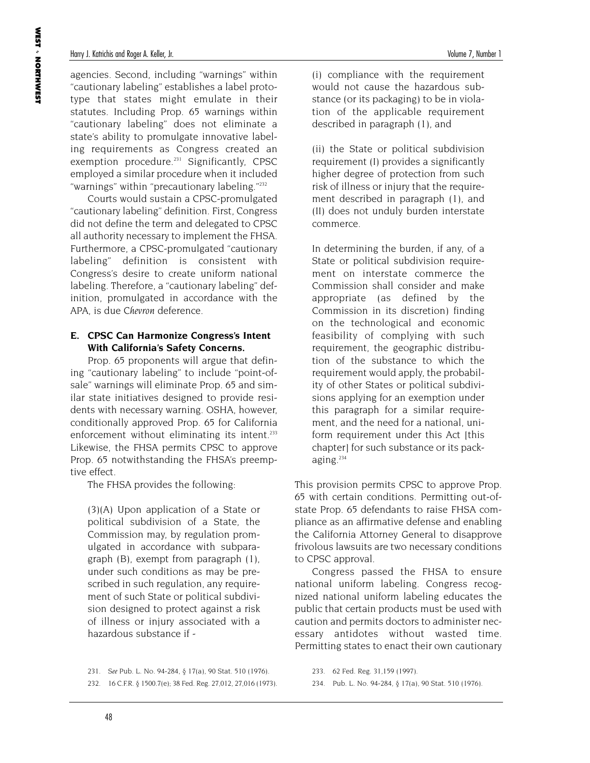agencies. Second, including "warnings" within "cautionary labeling" establishes a label prototype that states might emulate in their statutes. Including Prop. 65 warnings within "cautionary labeling" does not eliminate a state's ability to promulgate innovative labeling requirements as Congress created an exemption procedure.<sup>231</sup> Significantly, CPSC employed a similar procedure when it included "warnings" within "precautionary labeling."232

Courts would sustain a CPSC-promulgated "cautionary labeling" definition. First, Congress did not define the term and delegated to CPSC all authority necessary to implement the FHSA. Furthermore, a CPSC-promulgated "cautionary labeling" definition is consistent with Congress's desire to create uniform national labeling. Therefore, a "cautionary labeling" definition, promulgated in accordance with the APA, is due *Chevron* deference.

## **E. CPSC Can Harmonize Congress's Intent With California's Safety Concerns.**

Prop. 65 proponents will argue that defining "cautionary labeling" to include "point-ofsale" warnings will eliminate Prop. 65 and similar state initiatives designed to provide residents with necessary warning. OSHA, however, conditionally approved Prop. 65 for California enforcement without eliminating its intent.<sup>233</sup> Likewise, the FHSA permits CPSC to approve Prop. 65 notwithstanding the FHSA's preemptive effect.

The FHSA provides the following:

(3)(A) Upon application of a State or political subdivision of a State, the Commission may, by regulation promulgated in accordance with subparagraph (B), exempt from paragraph (1), under such conditions as may be prescribed in such regulation, any requirement of such State or political subdivision designed to protect against a risk of illness or injury associated with a hazardous substance if -

(i) compliance with the requirement would not cause the hazardous substance (or its packaging) to be in violation of the applicable requirement described in paragraph (1), and

(ii) the State or political subdivision requirement (I) provides a significantly higher degree of protection from such risk of illness or injury that the requirement described in paragraph (1), and (II) does not unduly burden interstate commerce.

In determining the burden, if any, of a State or political subdivision requirement on interstate commerce the Commission shall consider and make appropriate (as defined by the Commission in its discretion) finding on the technological and economic feasibility of complying with such requirement, the geographic distribution of the substance to which the requirement would apply, the probability of other States or political subdivisions applying for an exemption under this paragraph for a similar requirement, and the need for a national, uniform requirement under this Act [this chapter] for such substance or its packaging. $234$ 

This provision permits CPSC to approve Prop. 65 with certain conditions. Permitting out-ofstate Prop. 65 defendants to raise FHSA compliance as an affirmative defense and enabling the California Attorney General to disapprove frivolous lawsuits are two necessary conditions to CPSC approval.

Congress passed the FHSA to ensure national uniform labeling. Congress recognized national uniform labeling educates the public that certain products must be used with caution and permits doctors to administer necessary antidotes without wasted time. Permitting states to enact their own cautionary

- 231. *See* Pub. L. No. 94-284, § 17(a), 90 Stat. 510 (1976).
- 232. 16 C.F.R. § 1500.7(e); 38 Fed. Reg. 27,012, 27,016 (1973).
- 233. 62 Fed. Reg. 31,159 (1997).
- 234. Pub. L. No. 94-284, § 17(a), 90 Stat. 510 (1976).